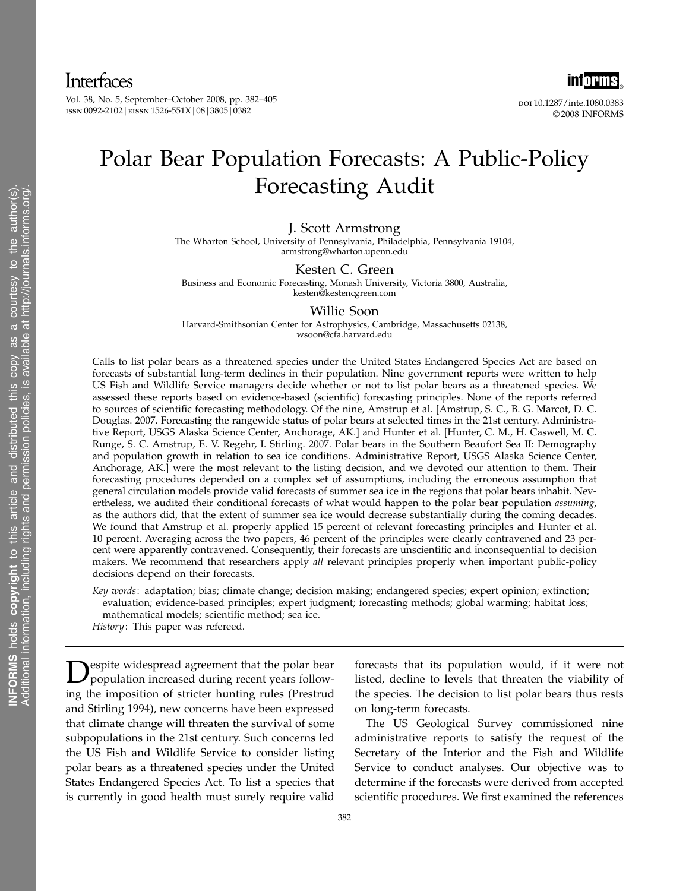Interfaces

Vol. 38, No. 5, September–October 2008, pp. 382–405 issn 0092-2102 eissn 1526-551X 08 3805 0382

# Polar Bear Population Forecasts: A Public-Policy Forecasting Audit

J. Scott Armstrong

The Wharton School, University of Pennsylvania, Philadelphia, Pennsylvania 19104, armstrong@wharton.upenn.edu

Kesten C. Green Business and Economic Forecasting, Monash University, Victoria 3800, Australia, kesten@kestencgreen.com

# Willie Soon

Harvard-Smithsonian Center for Astrophysics, Cambridge, Massachusetts 02138, wsoon@cfa.harvard.edu

Calls to list polar bears as a threatened species under the United States Endangered Species Act are based on forecasts of substantial long-term declines in their population. Nine government reports were written to help US Fish and Wildlife Service managers decide whether or not to list polar bears as a threatened species. We assessed these reports based on evidence-based (scientific) forecasting principles. None of the reports referred to sources of scientific forecasting methodology. Of the nine, Amstrup et al. [Amstrup, S. C., B. G. Marcot, D. C. Douglas. 2007. Forecasting the rangewide status of polar bears at selected times in the 21st century. Administrative Report, USGS Alaska Science Center, Anchorage, AK.] and Hunter et al. [Hunter, C. M., H. Caswell, M. C. Runge, S. C. Amstrup, E. V. Regehr, I. Stirling. 2007. Polar bears in the Southern Beaufort Sea II: Demography and population growth in relation to sea ice conditions. Administrative Report, USGS Alaska Science Center, Anchorage, AK.] were the most relevant to the listing decision, and we devoted our attention to them. Their forecasting procedures depended on a complex set of assumptions, including the erroneous assumption that general circulation models provide valid forecasts of summer sea ice in the regions that polar bears inhabit. Nevertheless, we audited their conditional forecasts of what would happen to the polar bear population *assuming*, as the authors did, that the extent of summer sea ice would decrease substantially during the coming decades. We found that Amstrup et al. properly applied 15 percent of relevant forecasting principles and Hunter et al. 10 percent. Averaging across the two papers, 46 percent of the principles were clearly contravened and 23 percent were apparently contravened. Consequently, their forecasts are unscientific and inconsequential to decision makers. We recommend that researchers apply all relevant principles properly when important public-policy decisions depend on their forecasts.

Key words: adaptation; bias; climate change; decision making; endangered species; expert opinion; extinction; evaluation; evidence-based principles; expert judgment; forecasting methods; global warming; habitat loss; mathematical models; scientific method; sea ice.

History: This paper was refereed.

Despite widespread agreement that the polar bear population increased during recent years following the imposition of stricter hunting rules (Prestrud and Stirling 1994), new concerns have been expressed that climate change will threaten the survival of some subpopulations in the 21st century. Such concerns led the US Fish and Wildlife Service to consider listing polar bears as a threatened species under the United States Endangered Species Act. To list a species that is currently in good health must surely require valid

forecasts that its population would, if it were not listed, decline to levels that threaten the viability of the species. The decision to list polar bears thus rests on long-term forecasts.

The US Geological Survey commissioned nine administrative reports to satisfy the request of the Secretary of the Interior and the Fish and Wildlife Service to conduct analyses. Our objective was to determine if the forecasts were derived from accepted scientific procedures. We first examined the references



doi 10.1287/inte.1080.0383 ©2008 INFORMS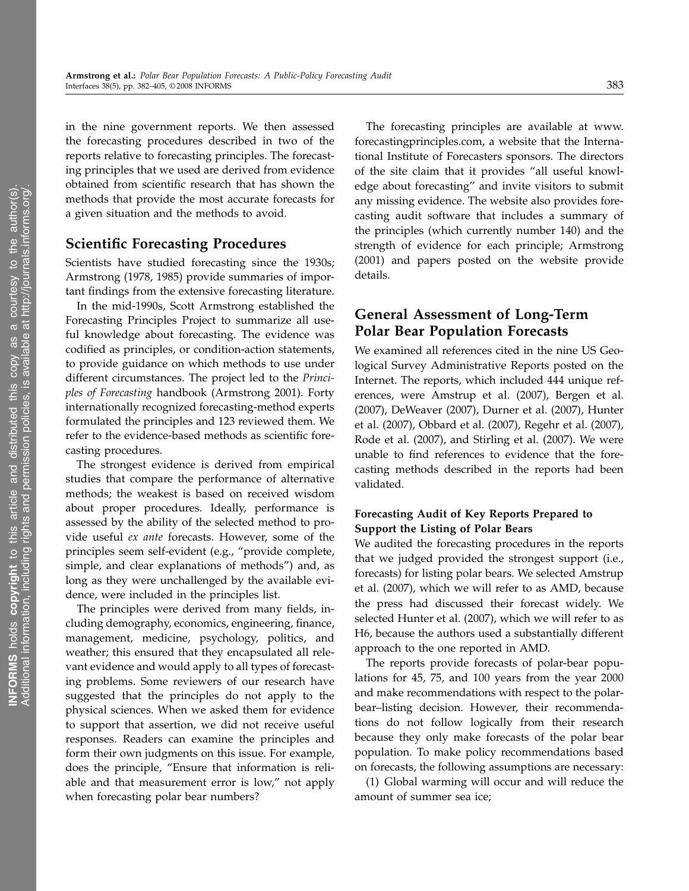in the nine government reports. We then assessed the forecasting procedures described in two of the reports relative to forecasting principles. The forecasting principles that we used are derived from evidence obtained from scientific research that has shown the methods that provide the most accurate forecasts for a given situation and the methods to avoid.

# Scientific Forecasting Procedures

Scientists have studied forecasting since the 1930s; Armstrong (1978, 1985) provide summaries of important findings from the extensive forecasting literature.

In the mid-1990s, Scott Armstrong established the Forecasting Principles Project to summarize all useful knowledge about forecasting. The evidence was codified as principles, or condition-action statements, to provide guidance on which methods to use under different circumstances. The project led to the Principles of Forecasting handbook (Armstrong 2001). Forty internationally recognized forecasting-method experts formulated the principles and 123 reviewed them. We refer to the evidence-based methods as scientific forecasting procedures.

The strongest evidence is derived from empirical studies that compare the performance of alternative methods; the weakest is based on received wisdom about proper procedures. Ideally, performance is assessed by the ability of the selected method to provide useful ex ante forecasts. However, some of the principles seem self-evident (e.g., "provide complete, simple, and clear explanations of methods") and, as long as they were unchallenged by the available evidence, were included in the principles list.

The principles were derived from many fields, including demography, economics, engineering, finance, management, medicine, psychology, politics, and weather; this ensured that they encapsulated all relevant evidence and would apply to all types of forecasting problems. Some reviewers of our research have suggested that the principles do not apply to the physical sciences. When we asked them for evidence to support that assertion, we did not receive useful responses. Readers can examine the principles and form their own judgments on this issue. For example, does the principle, "Ensure that information is reliable and that measurement error is low," not apply when forecasting polar bear numbers?

The forecasting principles are available at www. forecastingprinciples.com, a website that the International Institute of Forecasters sponsors. The directors of the site claim that it provides "all useful knowledge about forecasting" and invite visitors to submit any missing evidence. The website also provides forecasting audit software that includes a summary of the principles (which currently number 140) and the strength of evidence for each principle; Armstrong (2001) and papers posted on the website provide details.

# General Assessment of Long-Term Polar Bear Population Forecasts

We examined all references cited in the nine US Geological Survey Administrative Reports posted on the Internet. The reports, which included 444 unique references, were Amstrup et al. (2007), Bergen et al. (2007), DeWeaver (2007), Durner et al. (2007), Hunter et al. (2007), Obbard et al. (2007), Regehr et al. (2007), Rode et al. (2007), and Stirling et al. (2007). We were unable to find references to evidence that the forecasting methods described in the reports had been validated.

# Forecasting Audit of Key Reports Prepared to Support the Listing of Polar Bears

We audited the forecasting procedures in the reports that we judged provided the strongest support (i.e., forecasts) for listing polar bears. We selected Amstrup et al. (2007), which we will refer to as AMD, because the press had discussed their forecast widely. We selected Hunter et al. (2007), which we will refer to as H6, because the authors used a substantially different approach to the one reported in AMD.

The reports provide forecasts of polar-bear populations for 45, 75, and 100 years from the year 2000 and make recommendations with respect to the polarbear–listing decision. However, their recommendations do not follow logically from their research because they only make forecasts of the polar bear population. To make policy recommendations based on forecasts, the following assumptions are necessary:

(1) Global warming will occur and will reduce the amount of summer sea ice;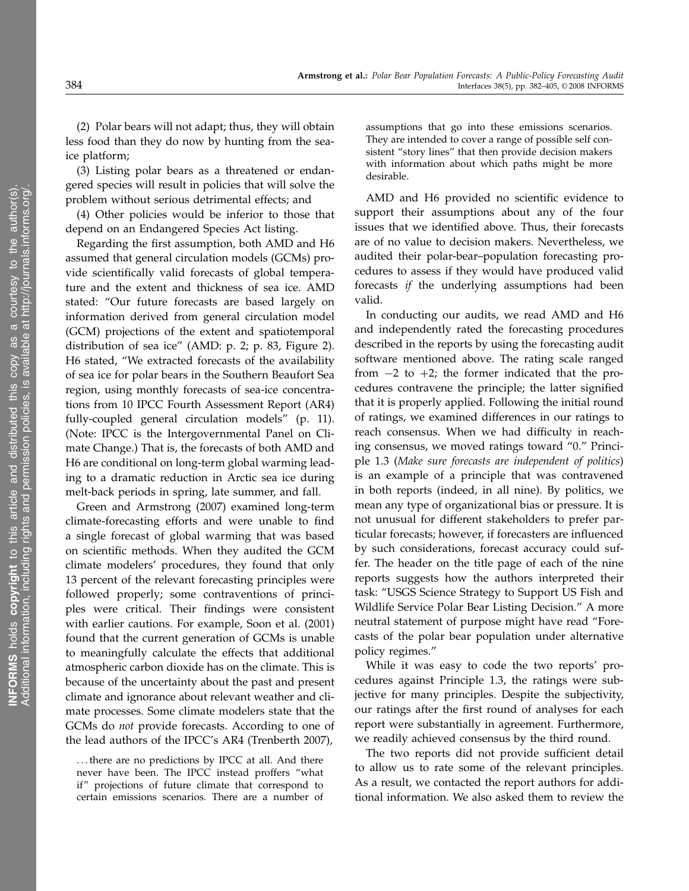(2) Polar bears will not adapt; thus, they will obtain less food than they do now by hunting from the seaice platform;

(3) Listing polar bears as a threatened or endangered species will result in policies that will solve the problem without serious detrimental effects; and

(4) Other policies would be inferior to those that depend on an Endangered Species Act listing.

Regarding the first assumption, both AMD and H6 assumed that general circulation models (GCMs) provide scientifically valid forecasts of global temperature and the extent and thickness of sea ice. AMD stated: "Our future forecasts are based largely on information derived from general circulation model (GCM) projections of the extent and spatiotemporal distribution of sea ice" (AMD: p. 2; p. 83, Figure 2). H6 stated, "We extracted forecasts of the availability of sea ice for polar bears in the Southern Beaufort Sea region, using monthly forecasts of sea-ice concentrations from 10 IPCC Fourth Assessment Report (AR4) fully-coupled general circulation models" (p. 11). (Note: IPCC is the Intergovernmental Panel on Climate Change.) That is, the forecasts of both AMD and H6 are conditional on long-term global warming leading to a dramatic reduction in Arctic sea ice during melt-back periods in spring, late summer, and fall.

Green and Armstrong (2007) examined long-term climate-forecasting efforts and were unable to find a single forecast of global warming that was based on scientific methods. When they audited the GCM climate modelers' procedures, they found that only 13 percent of the relevant forecasting principles were followed properly; some contraventions of principles were critical. Their findings were consistent with earlier cautions. For example, Soon et al. (2001) found that the current generation of GCMs is unable to meaningfully calculate the effects that additional atmospheric carbon dioxide has on the climate. This is because of the uncertainty about the past and present climate and ignorance about relevant weather and climate processes. Some climate modelers state that the GCMs do not provide forecasts. According to one of the lead authors of the IPCC's AR4 (Trenberth 2007),

...there are no predictions by IPCC at all. And there never have been. The IPCC instead proffers "what if" projections of future climate that correspond to certain emissions scenarios. There are a number of assumptions that go into these emissions scenarios. They are intended to cover a range of possible self consistent "story lines" that then provide decision makers with information about which paths might be more desirable.

AMD and H6 provided no scientific evidence to support their assumptions about any of the four issues that we identified above. Thus, their forecasts are of no value to decision makers. Nevertheless, we audited their polar-bear–population forecasting procedures to assess if they would have produced valid forecasts if the underlying assumptions had been valid.

In conducting our audits, we read AMD and H6 and independently rated the forecasting procedures described in the reports by using the forecasting audit software mentioned above. The rating scale ranged from  $-2$  to  $+2$ ; the former indicated that the procedures contravene the principle; the latter signified that it is properly applied. Following the initial round of ratings, we examined differences in our ratings to reach consensus. When we had difficulty in reaching consensus, we moved ratings toward "0." Principle 1.3 (Make sure forecasts are independent of politics) is an example of a principle that was contravened in both reports (indeed, in all nine). By politics, we mean any type of organizational bias or pressure. It is not unusual for different stakeholders to prefer particular forecasts; however, if forecasters are influenced by such considerations, forecast accuracy could suffer. The header on the title page of each of the nine reports suggests how the authors interpreted their task: "USGS Science Strategy to Support US Fish and Wildlife Service Polar Bear Listing Decision." A more neutral statement of purpose might have read "Forecasts of the polar bear population under alternative policy regimes."

While it was easy to code the two reports' procedures against Principle 1.3, the ratings were subjective for many principles. Despite the subjectivity, our ratings after the first round of analyses for each report were substantially in agreement. Furthermore, we readily achieved consensus by the third round.

The two reports did not provide sufficient detail to allow us to rate some of the relevant principles. As a result, we contacted the report authors for additional information. We also asked them to review the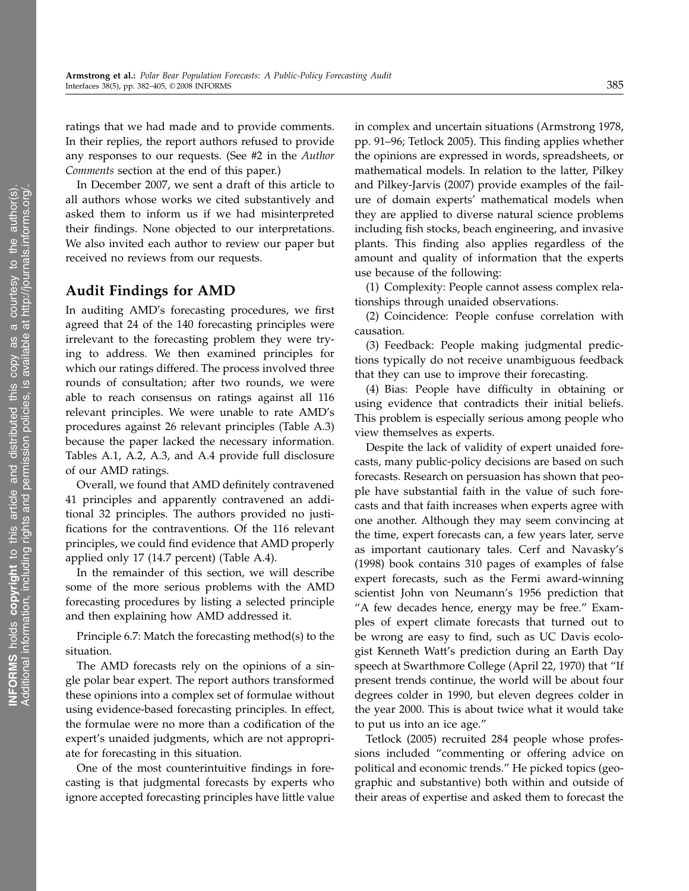ratings that we had made and to provide comments. In their replies, the report authors refused to provide any responses to our requests. (See #2 in the Author Comments section at the end of this paper.)

In December 2007, we sent a draft of this article to all authors whose works we cited substantively and asked them to inform us if we had misinterpreted their findings. None objected to our interpretations. We also invited each author to review our paper but received no reviews from our requests.

# Audit Findings for AMD

In auditing AMD's forecasting procedures, we first agreed that 24 of the 140 forecasting principles were irrelevant to the forecasting problem they were trying to address. We then examined principles for which our ratings differed. The process involved three rounds of consultation; after two rounds, we were able to reach consensus on ratings against all 116 relevant principles. We were unable to rate AMD's procedures against 26 relevant principles (Table A.3) because the paper lacked the necessary information. Tables A.1, A.2, A.3, and A.4 provide full disclosure of our AMD ratings.

Overall, we found that AMD definitely contravened 41 principles and apparently contravened an additional 32 principles. The authors provided no justifications for the contraventions. Of the 116 relevant principles, we could find evidence that AMD properly applied only 17 (14.7 percent) (Table A.4).

In the remainder of this section, we will describe some of the more serious problems with the AMD forecasting procedures by listing a selected principle and then explaining how AMD addressed it.

Principle 6.7: Match the forecasting method(s) to the situation.

The AMD forecasts rely on the opinions of a single polar bear expert. The report authors transformed these opinions into a complex set of formulae without using evidence-based forecasting principles. In effect, the formulae were no more than a codification of the expert's unaided judgments, which are not appropriate for forecasting in this situation.

One of the most counterintuitive findings in forecasting is that judgmental forecasts by experts who ignore accepted forecasting principles have little value in complex and uncertain situations (Armstrong 1978, pp. 91–96; Tetlock 2005). This finding applies whether the opinions are expressed in words, spreadsheets, or mathematical models. In relation to the latter, Pilkey and Pilkey-Jarvis (2007) provide examples of the failure of domain experts' mathematical models when they are applied to diverse natural science problems including fish stocks, beach engineering, and invasive plants. This finding also applies regardless of the amount and quality of information that the experts use because of the following:

(1) Complexity: People cannot assess complex relationships through unaided observations.

(2) Coincidence: People confuse correlation with causation.

(3) Feedback: People making judgmental predictions typically do not receive unambiguous feedback that they can use to improve their forecasting.

(4) Bias: People have difficulty in obtaining or using evidence that contradicts their initial beliefs. This problem is especially serious among people who view themselves as experts.

Despite the lack of validity of expert unaided forecasts, many public-policy decisions are based on such forecasts. Research on persuasion has shown that people have substantial faith in the value of such forecasts and that faith increases when experts agree with one another. Although they may seem convincing at the time, expert forecasts can, a few years later, serve as important cautionary tales. Cerf and Navasky's (1998) book contains 310 pages of examples of false expert forecasts, such as the Fermi award-winning scientist John von Neumann's 1956 prediction that "A few decades hence, energy may be free." Examples of expert climate forecasts that turned out to be wrong are easy to find, such as UC Davis ecologist Kenneth Watt's prediction during an Earth Day speech at Swarthmore College (April 22, 1970) that "If present trends continue, the world will be about four degrees colder in 1990, but eleven degrees colder in the year 2000. This is about twice what it would take to put us into an ice age."

Tetlock (2005) recruited 284 people whose professions included "commenting or offering advice on political and economic trends." He picked topics (geographic and substantive) both within and outside of their areas of expertise and asked them to forecast the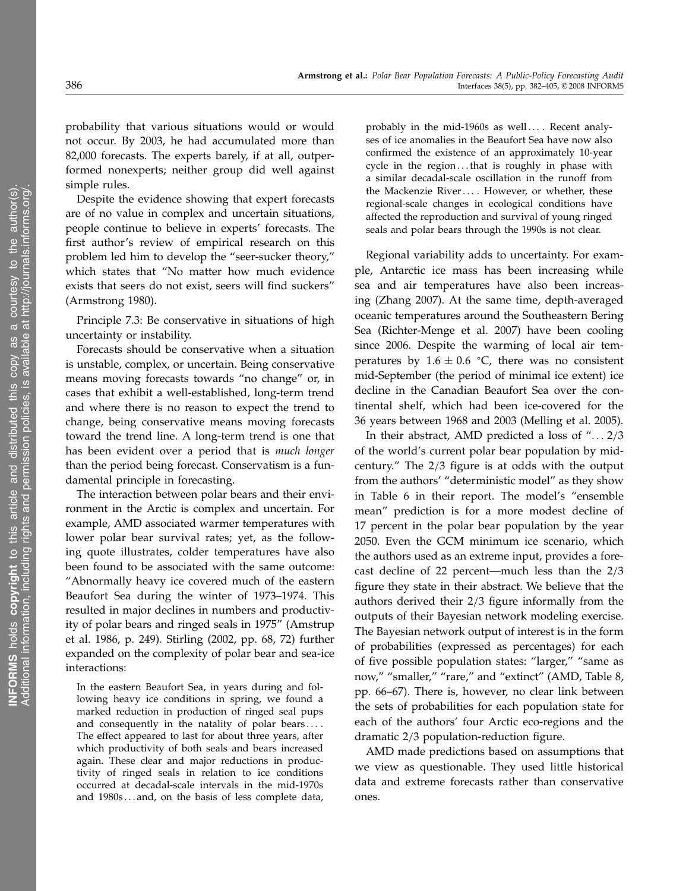probability that various situations would or would not occur. By 2003, he had accumulated more than 82,000 forecasts. The experts barely, if at all, outperformed nonexperts; neither group did well against simple rules.

Despite the evidence showing that expert forecasts are of no value in complex and uncertain situations, people continue to believe in experts' forecasts. The first author's review of empirical research on this problem led him to develop the "seer-sucker theory," which states that "No matter how much evidence exists that seers do not exist, seers will find suckers" (Armstrong 1980).

Principle 7.3: Be conservative in situations of high uncertainty or instability.

Forecasts should be conservative when a situation is unstable, complex, or uncertain. Being conservative means moving forecasts towards "no change" or, in cases that exhibit a well-established, long-term trend and where there is no reason to expect the trend to change, being conservative means moving forecasts toward the trend line. A long-term trend is one that has been evident over a period that is much longer than the period being forecast. Conservatism is a fundamental principle in forecasting.

The interaction between polar bears and their environment in the Arctic is complex and uncertain. For example, AMD associated warmer temperatures with lower polar bear survival rates; yet, as the following quote illustrates, colder temperatures have also been found to be associated with the same outcome: "Abnormally heavy ice covered much of the eastern Beaufort Sea during the winter of 1973–1974. This resulted in major declines in numbers and productivity of polar bears and ringed seals in 1975" (Amstrup et al. 1986, p. 249). Stirling (2002, pp. 68, 72) further expanded on the complexity of polar bear and sea-ice interactions:

In the eastern Beaufort Sea, in years during and following heavy ice conditions in spring, we found a marked reduction in production of ringed seal pups and consequently in the natality of polar bears.... The effect appeared to last for about three years, after which productivity of both seals and bears increased again. These clear and major reductions in productivity of ringed seals in relation to ice conditions occurred at decadal-scale intervals in the mid-1970s and  $1980s...$  and, on the basis of less complete data, probably in the mid-1960s as well.... Recent analyses of ice anomalies in the Beaufort Sea have now also confirmed the existence of an approximately 10-year cycle in the region...that is roughly in phase with a similar decadal-scale oscillation in the runoff from the Mackenzie River .... However, or whether, these regional-scale changes in ecological conditions have affected the reproduction and survival of young ringed seals and polar bears through the 1990s is not clear.

Regional variability adds to uncertainty. For example, Antarctic ice mass has been increasing while sea and air temperatures have also been increasing (Zhang 2007). At the same time, depth-averaged oceanic temperatures around the Southeastern Bering Sea (Richter-Menge et al. 2007) have been cooling since 2006. Despite the warming of local air temperatures by  $1.6 \pm 0.6$  °C, there was no consistent mid-September (the period of minimal ice extent) ice decline in the Canadian Beaufort Sea over the continental shelf, which had been ice-covered for the 36 years between 1968 and 2003 (Melling et al. 2005).

In their abstract, AMD predicted a loss of " $\dots$  2/3 of the world's current polar bear population by midcentury." The 2/3 figure is at odds with the output from the authors' "deterministic model" as they show in Table 6 in their report. The model's "ensemble mean" prediction is for a more modest decline of 17 percent in the polar bear population by the year 2050. Even the GCM minimum ice scenario, which the authors used as an extreme input, provides a forecast decline of 22 percent—much less than the 2/3 figure they state in their abstract. We believe that the authors derived their 2/3 figure informally from the outputs of their Bayesian network modeling exercise. The Bayesian network output of interest is in the form of probabilities (expressed as percentages) for each of five possible population states: "larger," "same as now," "smaller," "rare," and "extinct" (AMD, Table 8, pp. 66–67). There is, however, no clear link between the sets of probabilities for each population state for each of the authors' four Arctic eco-regions and the dramatic 2/3 population-reduction figure.

AMD made predictions based on assumptions that we view as questionable. They used little historical data and extreme forecasts rather than conservative ones.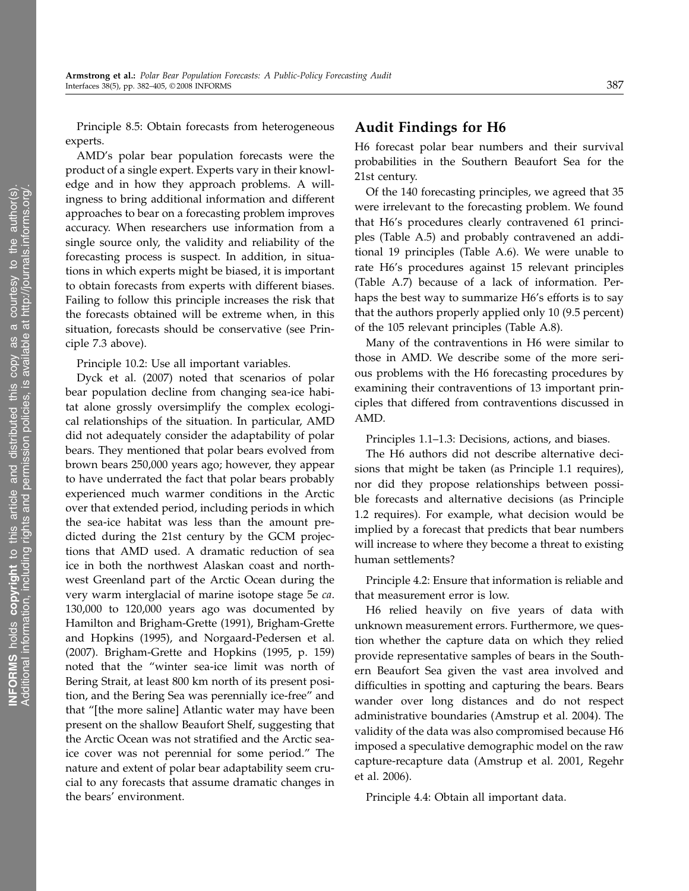Principle 8.5: Obtain forecasts from heterogeneous experts.

AMD's polar bear population forecasts were the product of a single expert. Experts vary in their knowledge and in how they approach problems. A willingness to bring additional information and different approaches to bear on a forecasting problem improves accuracy. When researchers use information from a single source only, the validity and reliability of the forecasting process is suspect. In addition, in situations in which experts might be biased, it is important to obtain forecasts from experts with different biases. Failing to follow this principle increases the risk that the forecasts obtained will be extreme when, in this situation, forecasts should be conservative (see Principle 7.3 above).

Principle 10.2: Use all important variables.

Dyck et al. (2007) noted that scenarios of polar bear population decline from changing sea-ice habitat alone grossly oversimplify the complex ecological relationships of the situation. In particular, AMD did not adequately consider the adaptability of polar bears. They mentioned that polar bears evolved from brown bears 250,000 years ago; however, they appear to have underrated the fact that polar bears probably experienced much warmer conditions in the Arctic over that extended period, including periods in which the sea-ice habitat was less than the amount predicted during the 21st century by the GCM projections that AMD used. A dramatic reduction of sea ice in both the northwest Alaskan coast and northwest Greenland part of the Arctic Ocean during the very warm interglacial of marine isotope stage 5e ca. 130,000 to 120,000 years ago was documented by Hamilton and Brigham-Grette (1991), Brigham-Grette and Hopkins (1995), and Norgaard-Pedersen et al. (2007). Brigham-Grette and Hopkins (1995, p. 159) noted that the "winter sea-ice limit was north of Bering Strait, at least 800 km north of its present position, and the Bering Sea was perennially ice-free" and that "[the more saline] Atlantic water may have been present on the shallow Beaufort Shelf, suggesting that the Arctic Ocean was not stratified and the Arctic seaice cover was not perennial for some period." The nature and extent of polar bear adaptability seem crucial to any forecasts that assume dramatic changes in the bears' environment.

# Audit Findings for H6

H6 forecast polar bear numbers and their survival probabilities in the Southern Beaufort Sea for the 21st century.

Of the 140 forecasting principles, we agreed that 35 were irrelevant to the forecasting problem. We found that H6's procedures clearly contravened 61 principles (Table A.5) and probably contravened an additional 19 principles (Table A.6). We were unable to rate H6's procedures against 15 relevant principles (Table A.7) because of a lack of information. Perhaps the best way to summarize H6's efforts is to say that the authors properly applied only 10 (9.5 percent) of the 105 relevant principles (Table A.8).

Many of the contraventions in H6 were similar to those in AMD. We describe some of the more serious problems with the H6 forecasting procedures by examining their contraventions of 13 important principles that differed from contraventions discussed in AMD.

Principles 1.1–1.3: Decisions, actions, and biases.

The H6 authors did not describe alternative decisions that might be taken (as Principle 1.1 requires), nor did they propose relationships between possible forecasts and alternative decisions (as Principle 1.2 requires). For example, what decision would be implied by a forecast that predicts that bear numbers will increase to where they become a threat to existing human settlements?

Principle 4.2: Ensure that information is reliable and that measurement error is low.

H6 relied heavily on five years of data with unknown measurement errors. Furthermore, we question whether the capture data on which they relied provide representative samples of bears in the Southern Beaufort Sea given the vast area involved and difficulties in spotting and capturing the bears. Bears wander over long distances and do not respect administrative boundaries (Amstrup et al. 2004). The validity of the data was also compromised because H6 imposed a speculative demographic model on the raw capture-recapture data (Amstrup et al. 2001, Regehr et al. 2006).

Principle 4.4: Obtain all important data.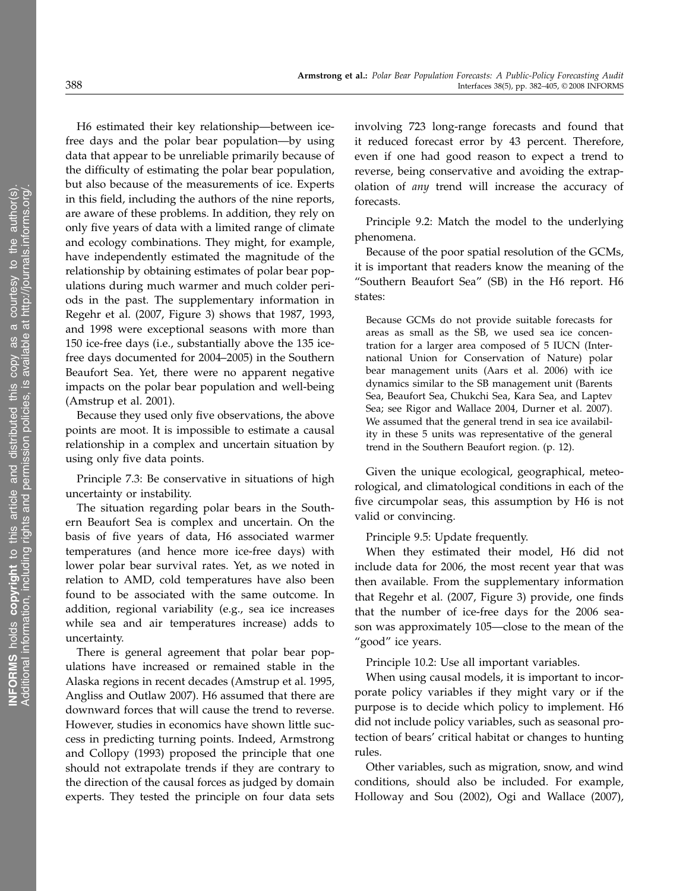H6 estimated their key relationship—between icefree days and the polar bear population—by using data that appear to be unreliable primarily because of the difficulty of estimating the polar bear population, but also because of the measurements of ice. Experts in this field, including the authors of the nine reports, are aware of these problems. In addition, they rely on only five years of data with a limited range of climate and ecology combinations. They might, for example, have independently estimated the magnitude of the relationship by obtaining estimates of polar bear populations during much warmer and much colder periods in the past. The supplementary information in Regehr et al. (2007, Figure 3) shows that 1987, 1993, and 1998 were exceptional seasons with more than 150 ice-free days (i.e., substantially above the 135 icefree days documented for 2004–2005) in the Southern Beaufort Sea. Yet, there were no apparent negative impacts on the polar bear population and well-being (Amstrup et al. 2001).

Because they used only five observations, the above points are moot. It is impossible to estimate a causal relationship in a complex and uncertain situation by using only five data points.

Principle 7.3: Be conservative in situations of high uncertainty or instability.

The situation regarding polar bears in the Southern Beaufort Sea is complex and uncertain. On the basis of five years of data, H6 associated warmer temperatures (and hence more ice-free days) with lower polar bear survival rates. Yet, as we noted in relation to AMD, cold temperatures have also been found to be associated with the same outcome. In addition, regional variability (e.g., sea ice increases while sea and air temperatures increase) adds to uncertainty.

There is general agreement that polar bear populations have increased or remained stable in the Alaska regions in recent decades (Amstrup et al. 1995, Angliss and Outlaw 2007). H6 assumed that there are downward forces that will cause the trend to reverse. However, studies in economics have shown little success in predicting turning points. Indeed, Armstrong and Collopy (1993) proposed the principle that one should not extrapolate trends if they are contrary to the direction of the causal forces as judged by domain experts. They tested the principle on four data sets

involving 723 long-range forecasts and found that it reduced forecast error by 43 percent. Therefore, even if one had good reason to expect a trend to reverse, being conservative and avoiding the extrapolation of any trend will increase the accuracy of forecasts.

Principle 9.2: Match the model to the underlying phenomena.

Because of the poor spatial resolution of the GCMs, it is important that readers know the meaning of the "Southern Beaufort Sea" (SB) in the H6 report. H6 states:

Because GCMs do not provide suitable forecasts for areas as small as the SB, we used sea ice concentration for a larger area composed of 5 IUCN (International Union for Conservation of Nature) polar bear management units (Aars et al. 2006) with ice dynamics similar to the SB management unit (Barents Sea, Beaufort Sea, Chukchi Sea, Kara Sea, and Laptev Sea; see Rigor and Wallace 2004, Durner et al. 2007). We assumed that the general trend in sea ice availability in these 5 units was representative of the general trend in the Southern Beaufort region. (p. 12).

Given the unique ecological, geographical, meteorological, and climatological conditions in each of the five circumpolar seas, this assumption by H6 is not valid or convincing.

Principle 9.5: Update frequently.

When they estimated their model, H6 did not include data for 2006, the most recent year that was then available. From the supplementary information that Regehr et al. (2007, Figure 3) provide, one finds that the number of ice-free days for the 2006 season was approximately 105—close to the mean of the "good" ice years.

Principle 10.2: Use all important variables.

When using causal models, it is important to incorporate policy variables if they might vary or if the purpose is to decide which policy to implement. H6 did not include policy variables, such as seasonal protection of bears' critical habitat or changes to hunting rules.

Other variables, such as migration, snow, and wind conditions, should also be included. For example, Holloway and Sou (2002), Ogi and Wallace (2007),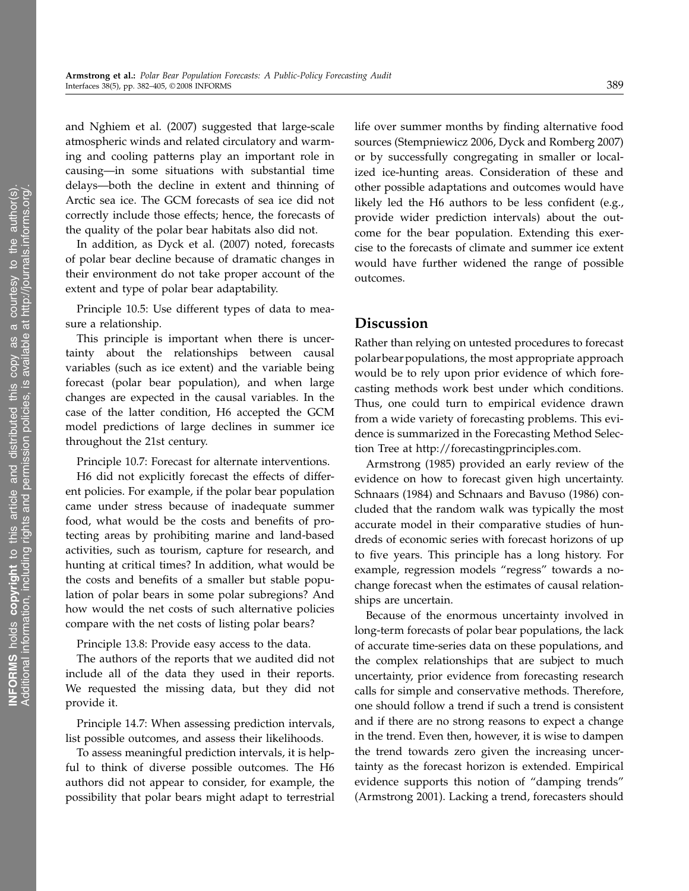and Nghiem et al. (2007) suggested that large-scale atmospheric winds and related circulatory and warming and cooling patterns play an important role in causing—in some situations with substantial time delays—both the decline in extent and thinning of Arctic sea ice. The GCM forecasts of sea ice did not correctly include those effects; hence, the forecasts of the quality of the polar bear habitats also did not.

In addition, as Dyck et al. (2007) noted, forecasts of polar bear decline because of dramatic changes in their environment do not take proper account of the extent and type of polar bear adaptability.

Principle 10.5: Use different types of data to measure a relationship.

This principle is important when there is uncertainty about the relationships between causal variables (such as ice extent) and the variable being forecast (polar bear population), and when large changes are expected in the causal variables. In the case of the latter condition, H6 accepted the GCM model predictions of large declines in summer ice throughout the 21st century.

Principle 10.7: Forecast for alternate interventions.

H6 did not explicitly forecast the effects of different policies. For example, if the polar bear population came under stress because of inadequate summer food, what would be the costs and benefits of protecting areas by prohibiting marine and land-based activities, such as tourism, capture for research, and hunting at critical times? In addition, what would be the costs and benefits of a smaller but stable population of polar bears in some polar subregions? And how would the net costs of such alternative policies compare with the net costs of listing polar bears?

Principle 13.8: Provide easy access to the data.

The authors of the reports that we audited did not include all of the data they used in their reports. We requested the missing data, but they did not provide it.

Principle 14.7: When assessing prediction intervals, list possible outcomes, and assess their likelihoods.

To assess meaningful prediction intervals, it is helpful to think of diverse possible outcomes. The H6 authors did not appear to consider, for example, the possibility that polar bears might adapt to terrestrial life over summer months by finding alternative food sources (Stempniewicz 2006, Dyck and Romberg 2007) or by successfully congregating in smaller or localized ice-hunting areas. Consideration of these and other possible adaptations and outcomes would have likely led the H6 authors to be less confident (e.g., provide wider prediction intervals) about the outcome for the bear population. Extending this exercise to the forecasts of climate and summer ice extent would have further widened the range of possible outcomes.

# Discussion

Rather than relying on untested procedures to forecast polar bearpopulations, the most appropriate approach would be to rely upon prior evidence of which forecasting methods work best under which conditions. Thus, one could turn to empirical evidence drawn from a wide variety of forecasting problems. This evidence is summarized in the Forecasting Method Selection Tree at http://forecastingprinciples.com.

Armstrong (1985) provided an early review of the evidence on how to forecast given high uncertainty. Schnaars (1984) and Schnaars and Bavuso (1986) concluded that the random walk was typically the most accurate model in their comparative studies of hundreds of economic series with forecast horizons of up to five years. This principle has a long history. For example, regression models "regress" towards a nochange forecast when the estimates of causal relationships are uncertain.

Because of the enormous uncertainty involved in long-term forecasts of polar bear populations, the lack of accurate time-series data on these populations, and the complex relationships that are subject to much uncertainty, prior evidence from forecasting research calls for simple and conservative methods. Therefore, one should follow a trend if such a trend is consistent and if there are no strong reasons to expect a change in the trend. Even then, however, it is wise to dampen the trend towards zero given the increasing uncertainty as the forecast horizon is extended. Empirical evidence supports this notion of "damping trends" (Armstrong 2001). Lacking a trend, forecasters should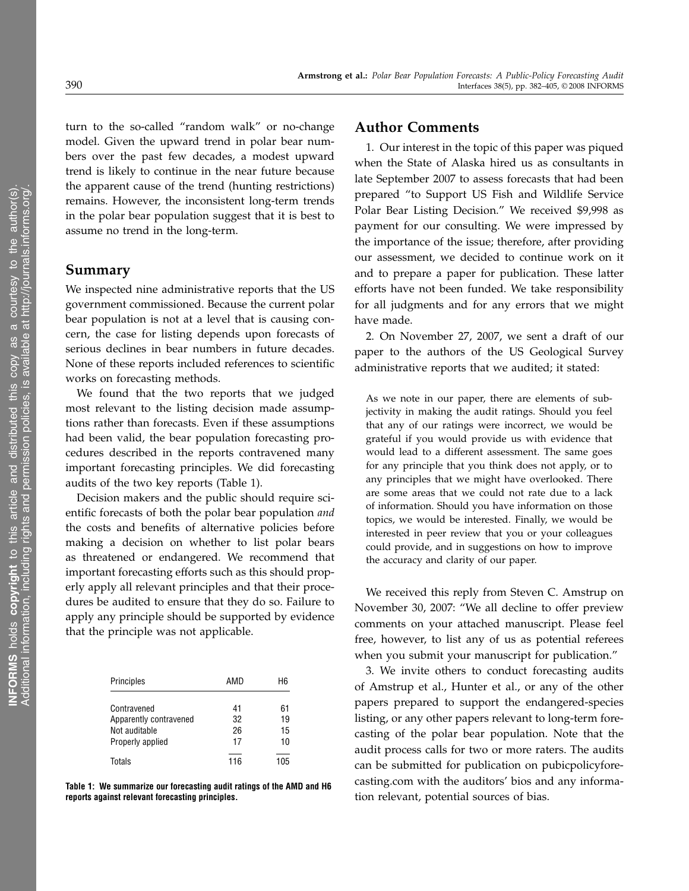turn to the so-called "random walk" or no-change model. Given the upward trend in polar bear numbers over the past few decades, a modest upward trend is likely to continue in the near future because the apparent cause of the trend (hunting restrictions) remains. However, the inconsistent long-term trends in the polar bear population suggest that it is best to assume no trend in the long-term.

# Summary

We inspected nine administrative reports that the US government commissioned. Because the current polar bear population is not at a level that is causing concern, the case for listing depends upon forecasts of serious declines in bear numbers in future decades. None of these reports included references to scientific works on forecasting methods.

We found that the two reports that we judged most relevant to the listing decision made assumptions rather than forecasts. Even if these assumptions had been valid, the bear population forecasting procedures described in the reports contravened many important forecasting principles. We did forecasting audits of the two key reports (Table 1).

Decision makers and the public should require scientific forecasts of both the polar bear population and the costs and benefits of alternative policies before making a decision on whether to list polar bears as threatened or endangered. We recommend that important forecasting efforts such as this should properly apply all relevant principles and that their procedures be audited to ensure that they do so. Failure to apply any principle should be supported by evidence that the principle was not applicable.

| Principles             | AMD | H6  |
|------------------------|-----|-----|
| Contravened            | 41  | 61  |
| Apparently contravened | 32  | 19  |
| Not auditable          | 26  | 15  |
| Properly applied       | 17  | 10  |
| Totals                 | 116 | 105 |

Table 1: We summarize our forecasting audit ratings of the AMD and H6 reports against relevant forecasting principles.

# Author Comments

1. Our interest in the topic of this paper was piqued when the State of Alaska hired us as consultants in late September 2007 to assess forecasts that had been prepared "to Support US Fish and Wildlife Service Polar Bear Listing Decision." We received \$9,998 as payment for our consulting. We were impressed by the importance of the issue; therefore, after providing our assessment, we decided to continue work on it and to prepare a paper for publication. These latter efforts have not been funded. We take responsibility for all judgments and for any errors that we might have made.

2. On November 27, 2007, we sent a draft of our paper to the authors of the US Geological Survey administrative reports that we audited; it stated:

As we note in our paper, there are elements of subjectivity in making the audit ratings. Should you feel that any of our ratings were incorrect, we would be grateful if you would provide us with evidence that would lead to a different assessment. The same goes for any principle that you think does not apply, or to any principles that we might have overlooked. There are some areas that we could not rate due to a lack of information. Should you have information on those topics, we would be interested. Finally, we would be interested in peer review that you or your colleagues could provide, and in suggestions on how to improve the accuracy and clarity of our paper.

We received this reply from Steven C. Amstrup on November 30, 2007: "We all decline to offer preview comments on your attached manuscript. Please feel free, however, to list any of us as potential referees when you submit your manuscript for publication."

3. We invite others to conduct forecasting audits of Amstrup et al., Hunter et al., or any of the other papers prepared to support the endangered-species listing, or any other papers relevant to long-term forecasting of the polar bear population. Note that the audit process calls for two or more raters. The audits can be submitted for publication on pubicpolicyforecasting.com with the auditors' bios and any information relevant, potential sources of bias.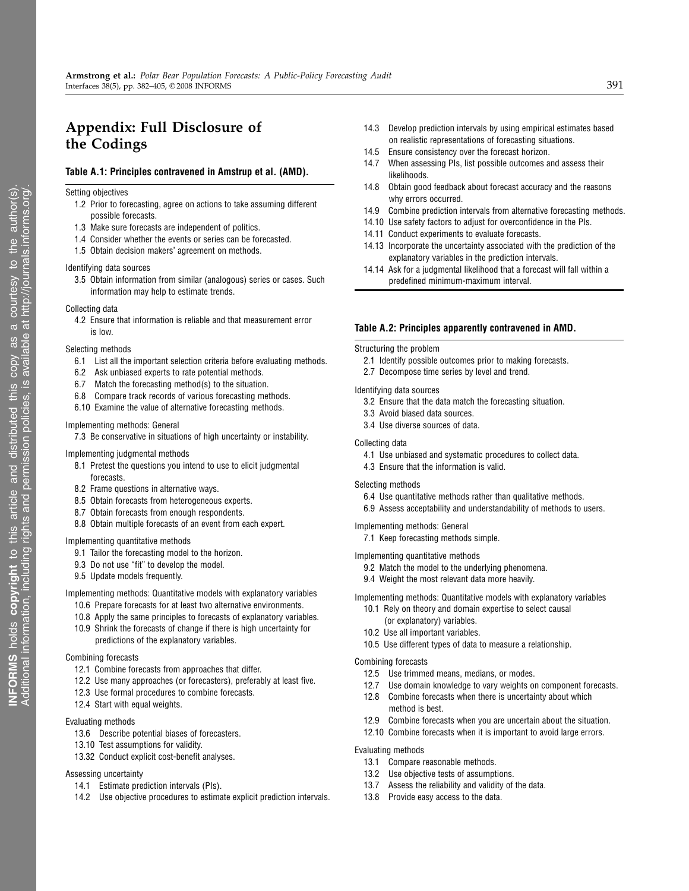# Appendix: Full Disclosure of the Codings

# Table A.1: Principles contravened in Amstrup et al. (AMD).

#### Setting objectives

- 1.2 Prior to forecasting, agree on actions to take assuming different possible forecasts.
- 1.3 Make sure forecasts are independent of politics.
- 1.4 Consider whether the events or series can be forecasted.
- 1.5 Obtain decision makers' agreement on methods.

# Identifying data sources

3.5 Obtain information from similar (analogous) series or cases. Such information may help to estimate trends.

#### Collecting data

4.2 Ensure that information is reliable and that measurement error is low.

#### Selecting methods

- 6.1 List all the important selection criteria before evaluating methods.
- 6.2 Ask unbiased experts to rate potential methods.
- 6.7 Match the forecasting method(s) to the situation.
- 6.8 Compare track records of various forecasting methods.
- 6.10 Examine the value of alternative forecasting methods.

# Implementing methods: General

7.3 Be conservative in situations of high uncertainty or instability.

#### Implementing judgmental methods

- 8.1 Pretest the questions you intend to use to elicit judgmental forecasts.
- 8.2 Frame questions in alternative ways.
- 8.5 Obtain forecasts from heterogeneous experts.
- 8.7 Obtain forecasts from enough respondents.
- 8.8 Obtain multiple forecasts of an event from each expert.

#### Implementing quantitative methods

- 9.1 Tailor the forecasting model to the horizon.
- 9.3 Do not use "fit" to develop the model.
- 9.5 Update models frequently.
- Implementing methods: Quantitative models with explanatory variables
	- 10.6 Prepare forecasts for at least two alternative environments.
	- 10.8 Apply the same principles to forecasts of explanatory variables.
	- 10.9 Shrink the forecasts of change if there is high uncertainty for predictions of the explanatory variables.

#### Combining forecasts

- 12.1 Combine forecasts from approaches that differ.
- 12.2 Use many approaches (or forecasters), preferably at least five.
- 12.3 Use formal procedures to combine forecasts.
- 12.4 Start with equal weights.

#### Evaluating methods

- 13.6 Describe potential biases of forecasters.
- 13.10 Test assumptions for validity.
- 13.32 Conduct explicit cost-benefit analyses.

#### Assessing uncertainty

- 14.1 Estimate prediction intervals (PIs).
- 14.2 Use objective procedures to estimate explicit prediction intervals.
- 14.3 Develop prediction intervals by using empirical estimates based on realistic representations of forecasting situations.
- 14.5 Ensure consistency over the forecast horizon.
- 14.7 When assessing PIs, list possible outcomes and assess their likelihoods.
- 14.8 Obtain good feedback about forecast accuracy and the reasons why errors occurred.
- 14.9 Combine prediction intervals from alternative forecasting methods.
- 14.10 Use safety factors to adjust for overconfidence in the PIs.
- 14.11 Conduct experiments to evaluate forecasts.
- 14.13 Incorporate the uncertainty associated with the prediction of the explanatory variables in the prediction intervals.
- 14.14 Ask for a judgmental likelihood that a forecast will fall within a predefined minimum-maximum interval.

# Table A.2: Principles apparently contravened in AMD.

#### Structuring the problem

- 2.1 Identify possible outcomes prior to making forecasts.
- 2.7 Decompose time series by level and trend.

### Identifying data sources

- 3.2 Ensure that the data match the forecasting situation.
- 3.3 Avoid biased data sources.
- 3.4 Use diverse sources of data.

#### Collecting data

- 4.1 Use unbiased and systematic procedures to collect data.
- 4.3 Ensure that the information is valid.

#### Selecting methods

- 6.4 Use quantitative methods rather than qualitative methods.
- 6.9 Assess acceptability and understandability of methods to users.

## Implementing methods: General

7.1 Keep forecasting methods simple.

## Implementing quantitative methods

- 9.2 Match the model to the underlying phenomena.
- 9.4 Weight the most relevant data more heavily.

Implementing methods: Quantitative models with explanatory variables

- 10.1 Rely on theory and domain expertise to select causal (or explanatory) variables.
- 10.2 Use all important variables.
- 10.5 Use different types of data to measure a relationship.

#### Combining forecasts

- 12.5 Use trimmed means, medians, or modes.
- 12.7 Use domain knowledge to vary weights on component forecasts.
- 12.8 Combine forecasts when there is uncertainty about which method is best.
- 12.9 Combine forecasts when you are uncertain about the situation.
- 12.10 Combine forecasts when it is important to avoid large errors.

#### Evaluating methods

- 13.1 Compare reasonable methods.
- 13.2 Use objective tests of assumptions.
- 13.7 Assess the reliability and validity of the data.
- 13.8 Provide easy access to the data.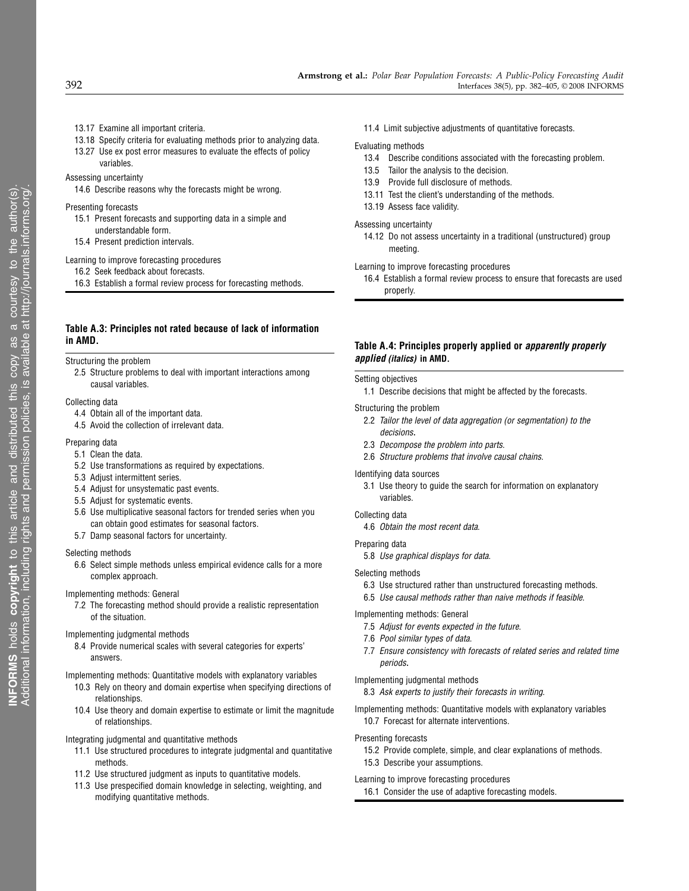- 13.17 Examine all important criteria.
- 13.18 Specify criteria for evaluating methods prior to analyzing data.
- 13.27 Use ex post error measures to evaluate the effects of policy variables.

# Assessing uncertainty

14.6 Describe reasons why the forecasts might be wrong.

#### Presenting forecasts

- 15.1 Present forecasts and supporting data in a simple and understandable form.
- 15.4 Present prediction intervals.

#### Learning to improve forecasting procedures

- 16.2 Seek feedback about forecasts.
- 16.3 Establish a formal review process for forecasting methods.

# Table A.3: Principles not rated because of lack of information in AMD.

#### Structuring the problem

2.5 Structure problems to deal with important interactions among causal variables.

# Collecting data

- 4.4 Obtain all of the important data.
- 4.5 Avoid the collection of irrelevant data.

#### Preparing data

- 5.1 Clean the data.
- 5.2 Use transformations as required by expectations.
- 5.3 Adjust intermittent series.
- 5.4 Adjust for unsystematic past events.
- 5.5 Adjust for systematic events.
- 5.6 Use multiplicative seasonal factors for trended series when you can obtain good estimates for seasonal factors.
- 5.7 Damp seasonal factors for uncertainty.

#### Selecting methods

6.6 Select simple methods unless empirical evidence calls for a more complex approach.

## Implementing methods: General

7.2 The forecasting method should provide a realistic representation of the situation.

#### Implementing judgmental methods

8.4 Provide numerical scales with several categories for experts' answers.

### Implementing methods: Quantitative models with explanatory variables

- 10.3 Rely on theory and domain expertise when specifying directions of relationships.
- 10.4 Use theory and domain expertise to estimate or limit the magnitude of relationships.

# Integrating judgmental and quantitative methods

- 11.1 Use structured procedures to integrate judgmental and quantitative methods.
- 11.2 Use structured judgment as inputs to quantitative models.
- 11.3 Use prespecified domain knowledge in selecting, weighting, and modifying quantitative methods.

# 11.4 Limit subjective adjustments of quantitative forecasts.

# Evaluating methods

- 13.4 Describe conditions associated with the forecasting problem.
- 13.5 Tailor the analysis to the decision.
- 13.9 Provide full disclosure of methods.
- 13.11 Test the client's understanding of the methods.
- 13.19 Assess face validity.

# Assessing uncertainty

14.12 Do not assess uncertainty in a traditional (unstructured) group meeting.

#### Learning to improve forecasting procedures

16.4 Establish a formal review process to ensure that forecasts are used properly.

# Table A.4: Principles properly applied or apparently properly applied (italics) in AMD.

#### Setting objectives

- 1.1 Describe decisions that might be affected by the forecasts.
- Structuring the problem
	- 2.2 Tailor the level of data aggregation (or segmentation) to the decisions.
	- 2.3 Decompose the problem into parts.
	- 2.6 Structure problems that involve causal chains.

#### Identifying data sources

3.1 Use theory to guide the search for information on explanatory variables.

#### Collecting data

4.6 Obtain the most recent data.

#### Preparing data

5.8 Use graphical displays for data.

# Selecting methods

- 6.3 Use structured rather than unstructured forecasting methods.
- 6.5 Use causal methods rather than naive methods if feasible.

#### Implementing methods: General

- 7.5 Adjust for events expected in the future.
- 7.6 Pool similar types of data.
- 7.7 Ensure consistency with forecasts of related series and related time periods.

## Implementing judgmental methods

8.3 Ask experts to justify their forecasts in writing.

Implementing methods: Quantitative models with explanatory variables 10.7 Forecast for alternate interventions.

#### Presenting forecasts

- 15.2 Provide complete, simple, and clear explanations of methods.
- 15.3 Describe your assumptions.

Learning to improve forecasting procedures

16.1 Consider the use of adaptive forecasting models.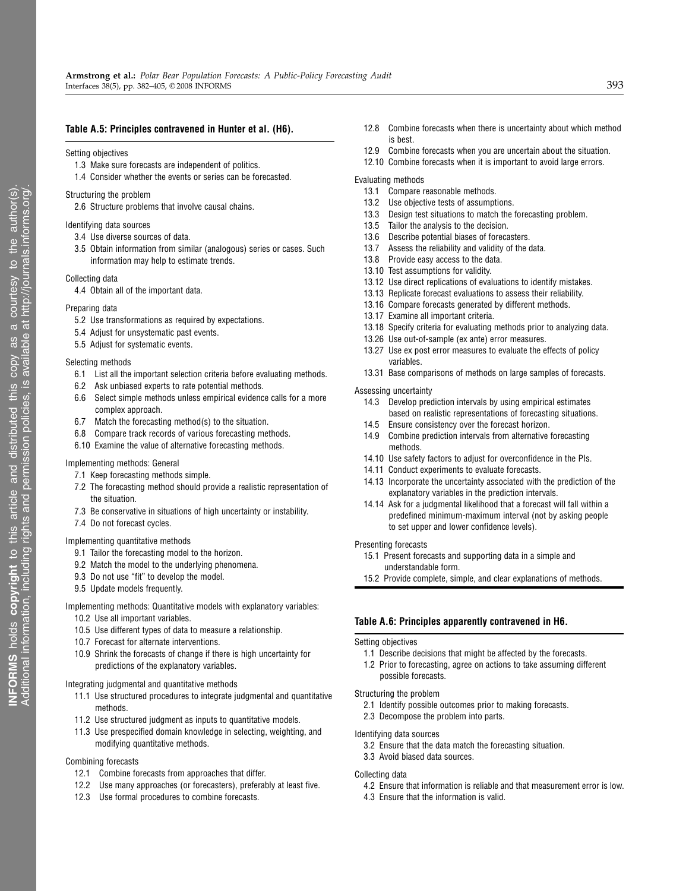# Table A.5: Principles contravened in Hunter et al. (H6).

#### Setting objectives

- 1.3 Make sure forecasts are independent of politics.
- 1.4 Consider whether the events or series can be forecasted.

#### Structuring the problem

2.6 Structure problems that involve causal chains.

#### Identifying data sources

- 3.4 Use diverse sources of data.
- 3.5 Obtain information from similar (analogous) series or cases. Such information may help to estimate trends.

#### Collecting data

4.4 Obtain all of the important data.

#### Preparing data

- 5.2 Use transformations as required by expectations.
- 5.4 Adjust for unsystematic past events.
- 5.5 Adjust for systematic events.

#### Selecting methods

- 6.1 List all the important selection criteria before evaluating methods.
- 6.2 Ask unbiased experts to rate potential methods.
- 6.6 Select simple methods unless empirical evidence calls for a more complex approach.
- 6.7 Match the forecasting method(s) to the situation.
- 6.8 Compare track records of various forecasting methods.
- 6.10 Examine the value of alternative forecasting methods.

# Implementing methods: General

- 7.1 Keep forecasting methods simple.
- 7.2 The forecasting method should provide a realistic representation of the situation.
- 7.3 Be conservative in situations of high uncertainty or instability.
- 7.4 Do not forecast cycles.

## Implementing quantitative methods

- 9.1 Tailor the forecasting model to the horizon.
- 9.2 Match the model to the underlying phenomena.
- 9.3 Do not use "fit" to develop the model.
- 9.5 Update models frequently.

# Implementing methods: Quantitative models with explanatory variables:

- 10.2 Use all important variables.
- 10.5 Use different types of data to measure a relationship.
- 10.7 Forecast for alternate interventions.
- 10.9 Shrink the forecasts of change if there is high uncertainty for predictions of the explanatory variables.

#### Integrating judgmental and quantitative methods

- 11.1 Use structured procedures to integrate judgmental and quantitative methods.
- 11.2 Use structured judgment as inputs to quantitative models.
- 11.3 Use prespecified domain knowledge in selecting, weighting, and modifying quantitative methods.

#### Combining forecasts

- 12.1 Combine forecasts from approaches that differ.
- 12.2 Use many approaches (or forecasters), preferably at least five.
- 12.3 Use formal procedures to combine forecasts.
- 12.8 Combine forecasts when there is uncertainty about which method is best.
- 12.9 Combine forecasts when you are uncertain about the situation.
- 12.10 Combine forecasts when it is important to avoid large errors.

# Evaluating methods

- 13.1 Compare reasonable methods.
- 13.2 Use objective tests of assumptions.
- 13.3 Design test situations to match the forecasting problem.
- 13.5 Tailor the analysis to the decision.
- 13.6 Describe potential biases of forecasters.
- 13.7 Assess the reliability and validity of the data.
- 13.8 Provide easy access to the data.
- 13.10 Test assumptions for validity.
- 13.12 Use direct replications of evaluations to identify mistakes.
- 13.13 Replicate forecast evaluations to assess their reliability.
- 13.16 Compare forecasts generated by different methods.
- 13.17 Examine all important criteria.
- 13.18 Specify criteria for evaluating methods prior to analyzing data.
- 13.26 Use out-of-sample (ex ante) error measures.
- 13.27 Use ex post error measures to evaluate the effects of policy variables.
- 13.31 Base comparisons of methods on large samples of forecasts.

#### Assessing uncertainty

- 14.3 Develop prediction intervals by using empirical estimates based on realistic representations of forecasting situations.
- 14.5 Ensure consistency over the forecast horizon.
- 14.9 Combine prediction intervals from alternative forecasting methods.
- 14.10 Use safety factors to adjust for overconfidence in the PIs.
- 14.11 Conduct experiments to evaluate forecasts.
- 14.13 Incorporate the uncertainty associated with the prediction of the explanatory variables in the prediction intervals.
- 14.14 Ask for a judgmental likelihood that a forecast will fall within a predefined minimum-maximum interval (not by asking people to set upper and lower confidence levels).

#### Presenting forecasts

- 15.1 Present forecasts and supporting data in a simple and understandable form.
- 15.2 Provide complete, simple, and clear explanations of methods.

## Table A.6: Principles apparently contravened in H6.

#### Setting objectives

- 1.1 Describe decisions that might be affected by the forecasts.
- 1.2 Prior to forecasting, agree on actions to take assuming different possible forecasts.

## Structuring the problem

- 2.1 Identify possible outcomes prior to making forecasts.
- 2.3 Decompose the problem into parts.

#### Identifying data sources

- 3.2 Ensure that the data match the forecasting situation.
- 3.3 Avoid biased data sources.

# Collecting data

- 4.2 Ensure that information is reliable and that measurement error is low.
- 4.3 Ensure that the information is valid.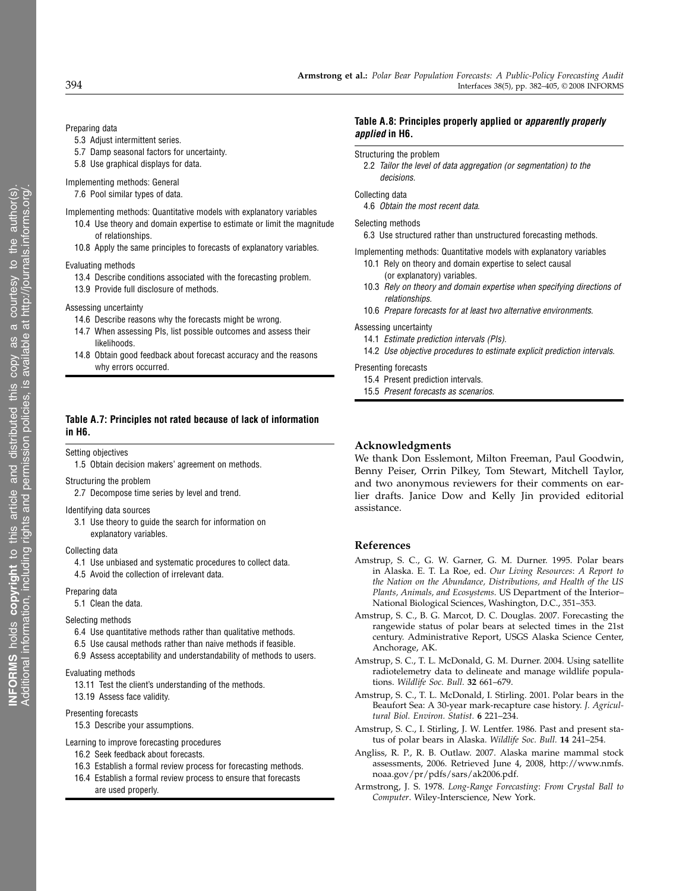# Preparing data

- 5.3 Adjust intermittent series.
- 5.7 Damp seasonal factors for uncertainty.
- 5.8 Use graphical displays for data.

### Implementing methods: General

7.6 Pool similar types of data.

# Implementing methods: Quantitative models with explanatory variables

- 10.4 Use theory and domain expertise to estimate or limit the magnitude of relationships.
- 10.8 Apply the same principles to forecasts of explanatory variables.

#### Evaluating methods

- 13.4 Describe conditions associated with the forecasting problem.
- 13.9 Provide full disclosure of methods.

# Assessing uncertainty

- 14.6 Describe reasons why the forecasts might be wrong.
- 14.7 When assessing PIs, list possible outcomes and assess their likelihoods.
- 14.8 Obtain good feedback about forecast accuracy and the reasons why errors occurred.

# Table A.7: Principles not rated because of lack of information in H6.

#### Setting objectives

1.5 Obtain decision makers' agreement on methods.

### Structuring the problem

2.7 Decompose time series by level and trend.

#### Identifying data sources

3.1 Use theory to guide the search for information on explanatory variables.

# Collecting data

- 4.1 Use unbiased and systematic procedures to collect data.
- 4.5 Avoid the collection of irrelevant data.

### Preparing data

5.1 Clean the data.

### Selecting methods

- 6.4 Use quantitative methods rather than qualitative methods.
- 6.5 Use causal methods rather than naive methods if feasible.
- 6.9 Assess acceptability and understandability of methods to users.

#### Evaluating methods

- 13.11 Test the client's understanding of the methods.
- 13.19 Assess face validity.

# Presenting forecasts

15.3 Describe your assumptions.

# Learning to improve forecasting procedures

- 16.2 Seek feedback about forecasts.
- 16.3 Establish a formal review process for forecasting methods.
- 16.4 Establish a formal review process to ensure that forecasts
	- are used properly.

# Table A.8: Principles properly applied or apparently properly applied in H6.

## Structuring the problem

2.2 Tailor the level of data aggregation (or segmentation) to the decisions.

#### Collecting data

4.6 Obtain the most recent data.

#### Selecting methods

6.3 Use structured rather than unstructured forecasting methods.

Implementing methods: Quantitative models with explanatory variables

- 10.1 Rely on theory and domain expertise to select causal (or explanatory) variables.
- 10.3 Rely on theory and domain expertise when specifying directions of relationships.
- 10.6 Prepare forecasts for at least two alternative environments.

### Assessing uncertainty

- 14.1 Estimate prediction intervals (PIs).
- 14.2 Use objective procedures to estimate explicit prediction intervals.

# Presenting forecasts

- 15.4 Present prediction intervals.
- 15.5 Present forecasts as scenarios.

# Acknowledgments

We thank Don Esslemont, Milton Freeman, Paul Goodwin, Benny Peiser, Orrin Pilkey, Tom Stewart, Mitchell Taylor, and two anonymous reviewers for their comments on earlier drafts. Janice Dow and Kelly Jin provided editorial assistance.

### References

- Amstrup, S. C., G. W. Garner, G. M. Durner. 1995. Polar bears in Alaska. E. T. La Roe, ed. Our Living Resources: A Report to the Nation on the Abundance, Distributions, and Health of the US Plants, Animals, and Ecosystems. US Department of the Interior– National Biological Sciences, Washington, D.C., 351–353.
- Amstrup, S. C., B. G. Marcot, D. C. Douglas. 2007. Forecasting the rangewide status of polar bears at selected times in the 21st century. Administrative Report, USGS Alaska Science Center, Anchorage, AK.
- Amstrup, S. C., T. L. McDonald, G. M. Durner. 2004. Using satellite radiotelemetry data to delineate and manage wildlife populations. Wildlife Soc. Bull. 32 661–679.
- Amstrup, S. C., T. L. McDonald, I. Stirling. 2001. Polar bears in the Beaufort Sea: A 30-year mark-recapture case history. J. Agricultural Biol. Environ. Statist. 6 221–234.
- Amstrup, S. C., I. Stirling, J. W. Lentfer. 1986. Past and present status of polar bears in Alaska. Wildlife Soc. Bull. 14 241-254.
- Angliss, R. P., R. B. Outlaw. 2007. Alaska marine mammal stock assessments, 2006. Retrieved June 4, 2008, http://www.nmfs. noaa.gov/pr/pdfs/sars/ak2006.pdf.
- Armstrong, J. S. 1978. Long-Range Forecasting: From Crystal Ball to Computer. Wiley-Interscience, New York.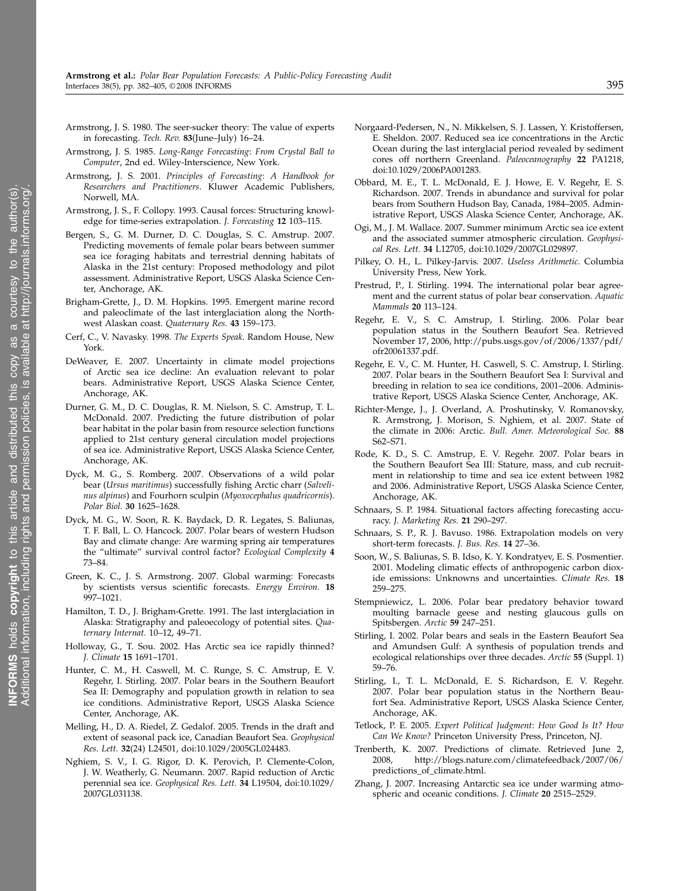- Armstrong, J. S. 1980. The seer-sucker theory: The value of experts in forecasting. Tech. Rev. 83(June–July) 16–24.
- Armstrong, J. S. 1985. Long-Range Forecasting: From Crystal Ball to Computer, 2nd ed. Wiley-Interscience, New York.
- Armstrong, J. S. 2001. Principles of Forecasting: A Handbook for Researchers and Practitioners. Kluwer Academic Publishers, Norwell, MA.
- Armstrong, J. S., F. Collopy. 1993. Causal forces: Structuring knowledge for time-series extrapolation. J. Forecasting 12 103–115.
- Bergen, S., G. M. Durner, D. C. Douglas, S. C. Amstrup. 2007. Predicting movements of female polar bears between summer sea ice foraging habitats and terrestrial denning habitats of Alaska in the 21st century: Proposed methodology and pilot assessment. Administrative Report, USGS Alaska Science Center, Anchorage, AK.
- Brigham-Grette, J., D. M. Hopkins. 1995. Emergent marine record and paleoclimate of the last interglaciation along the Northwest Alaskan coast. Quaternary Res. 43 159–173.
- Cerf, C., V. Navasky. 1998. The Experts Speak. Random House, New York.
- DeWeaver, E. 2007. Uncertainty in climate model projections of Arctic sea ice decline: An evaluation relevant to polar bears. Administrative Report, USGS Alaska Science Center, Anchorage, AK.
- Durner, G. M., D. C. Douglas, R. M. Nielson, S. C. Amstrup, T. L. McDonald. 2007. Predicting the future distribution of polar bear habitat in the polar basin from resource selection functions applied to 21st century general circulation model projections of sea ice. Administrative Report, USGS Alaska Science Center, Anchorage, AK.
- Dyck, M. G., S. Romberg. 2007. Observations of a wild polar bear (Ursus maritimus) successfully fishing Arctic charr (Salvelinus alpinus) and Fourhorn sculpin (Myoxocephalus quadricornis). Polar Biol. 30 1625–1628.
- Dyck, M. G., W. Soon, R. K. Baydack, D. R. Legates, S. Baliunas, T. F. Ball, L. O. Hancock. 2007. Polar bears of western Hudson Bay and climate change: Are warming spring air temperatures the "ultimate" survival control factor? Ecological Complexity 4 73–84.
- Green, K. C., J. S. Armstrong. 2007. Global warming: Forecasts by scientists versus scientific forecasts. Energy Environ. 18 997–1021.
- Hamilton, T. D., J. Brigham-Grette. 1991. The last interglaciation in Alaska: Stratigraphy and paleoecology of potential sites. Quaternary Internat. 10–12, 49–71.
- Holloway, G., T. Sou. 2002. Has Arctic sea ice rapidly thinned? J. Climate 15 1691–1701.
- Hunter, C. M., H. Caswell, M. C. Runge, S. C. Amstrup, E. V. Regehr, I. Stirling. 2007. Polar bears in the Southern Beaufort Sea II: Demography and population growth in relation to sea ice conditions. Administrative Report, USGS Alaska Science Center, Anchorage, AK.
- Melling, H., D. A. Riedel, Z. Gedalof. 2005. Trends in the draft and extent of seasonal pack ice, Canadian Beaufort Sea. Geophysical Res. Lett. 32(24) L24501, doi:10.1029/2005GL024483.
- Nghiem, S. V., I. G. Rigor, D. K. Perovich, P. Clemente-Colon, J. W. Weatherly, G. Neumann. 2007. Rapid reduction of Arctic perennial sea ice. Geophysical Res. Lett. 34 L19504, doi:10.1029/ 2007GL031138.
- Norgaard-Pedersen, N., N. Mikkelsen, S. J. Lassen, Y. Kristoffersen, E. Sheldon. 2007. Reduced sea ice concentrations in the Arctic Ocean during the last interglacial period revealed by sediment cores off northern Greenland. Paleoceanography 22 PA1218, doi:10.1029/2006PA001283.
- Obbard, M. E., T. L. McDonald, E. J. Howe, E. V. Regehr, E. S. Richardson. 2007. Trends in abundance and survival for polar bears from Southern Hudson Bay, Canada, 1984–2005. Administrative Report, USGS Alaska Science Center, Anchorage, AK.
- Ogi, M., J. M. Wallace. 2007. Summer minimum Arctic sea ice extent and the associated summer atmospheric circulation. Geophysical Res. Lett. 34 L12705, doi:10.1029/2007GL029897.
- Pilkey, O. H., L. Pilkey-Jarvis. 2007. Useless Arithmetic. Columbia University Press, New York.
- Prestrud, P., I. Stirling. 1994. The international polar bear agreement and the current status of polar bear conservation. Aquatic Mammals 20 113–124.
- Regehr, E. V., S. C. Amstrup, I. Stirling. 2006. Polar bear population status in the Southern Beaufort Sea. Retrieved November 17, 2006, http://pubs.usgs.gov/of/2006/1337/pdf/ ofr20061337.pdf.
- Regehr, E. V., C. M. Hunter, H. Caswell, S. C. Amstrup, I. Stirling. 2007. Polar bears in the Southern Beaufort Sea I: Survival and breeding in relation to sea ice conditions, 2001–2006. Administrative Report, USGS Alaska Science Center, Anchorage, AK.
- Richter-Menge, J., J. Overland, A. Proshutinsky, V. Romanovsky, R. Armstrong, J. Morison, S. Nghiem, et al. 2007. State of the climate in 2006: Arctic. Bull. Amer. Meteorological Soc. 88 S62–S71.
- Rode, K. D., S. C. Amstrup, E. V. Regehr. 2007. Polar bears in the Southern Beaufort Sea III: Stature, mass, and cub recruitment in relationship to time and sea ice extent between 1982 and 2006. Administrative Report, USGS Alaska Science Center, Anchorage, AK.
- Schnaars, S. P. 1984. Situational factors affecting forecasting accuracy. J. Marketing Res. 21 290–297.
- Schnaars, S. P., R. J. Bavuso. 1986. Extrapolation models on very short-term forecasts. J. Bus. Res. 14 27–36.
- Soon, W., S. Baliunas, S. B. Idso, K. Y. Kondratyev, E. S. Posmentier. 2001. Modeling climatic effects of anthropogenic carbon dioxide emissions: Unknowns and uncertainties. Climate Res. 18 259–275.
- Stempniewicz, L. 2006. Polar bear predatory behavior toward moulting barnacle geese and nesting glaucous gulls on Spitsbergen. Arctic 59 247–251.
- Stirling, I. 2002. Polar bears and seals in the Eastern Beaufort Sea and Amundsen Gulf: A synthesis of population trends and ecological relationships over three decades. Arctic 55 (Suppl. 1) 59–76.
- Stirling, I., T. L. McDonald, E. S. Richardson, E. V. Regehr. 2007. Polar bear population status in the Northern Beaufort Sea. Administrative Report, USGS Alaska Science Center, Anchorage, AK.
- Tetlock, P. E. 2005. Expert Political Judgment: How Good Is It? How Can We Know? Princeton University Press, Princeton, NJ.
- Trenberth, K. 2007. Predictions of climate. Retrieved June 2, 2008, http://blogs.nature.com/climatefeedback/2007/06/ predictions\_of\_climate.html.
- Zhang, J. 2007. Increasing Antarctic sea ice under warming atmospheric and oceanic conditions. J. Climate 20 2515–2529.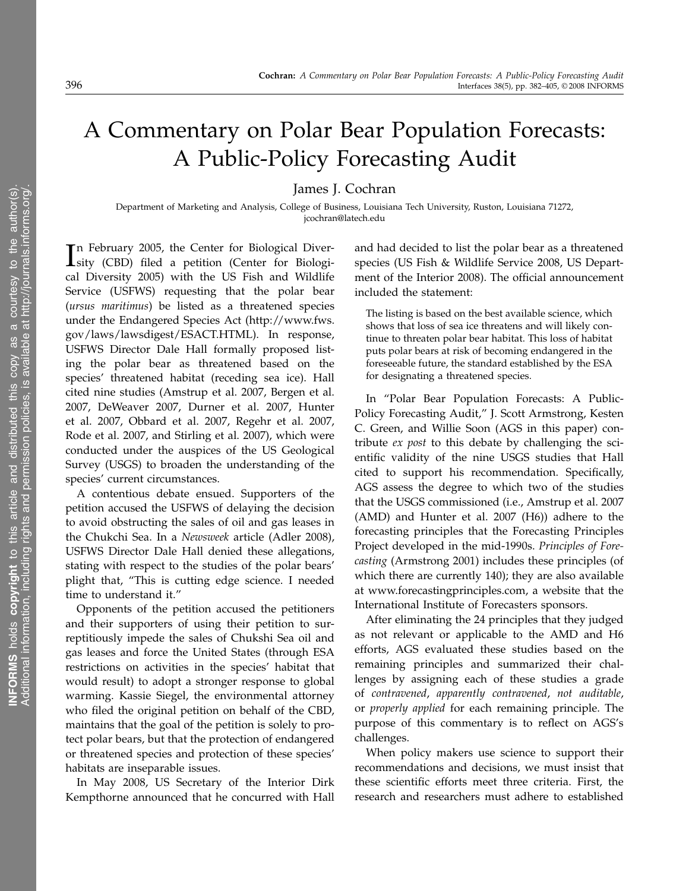# A Commentary on Polar Bear Population Forecasts: A Public-Policy Forecasting Audit

James J. Cochran

Department of Marketing and Analysis, College of Business, Louisiana Tech University, Ruston, Louisiana 71272, jcochran@latech.edu

In February 2005, the Center for Biological Diversity (CBD) filed a petition (Center for Biologin February 2005, the Center for Biological Divercal Diversity 2005) with the US Fish and Wildlife Service (USFWS) requesting that the polar bear (ursus maritimus) be listed as a threatened species under the Endangered Species Act (http://www.fws. gov/laws/lawsdigest/ESACT.HTML). In response, USFWS Director Dale Hall formally proposed listing the polar bear as threatened based on the species' threatened habitat (receding sea ice). Hall cited nine studies (Amstrup et al. 2007, Bergen et al. 2007, DeWeaver 2007, Durner et al. 2007, Hunter et al. 2007, Obbard et al. 2007, Regehr et al. 2007, Rode et al. 2007, and Stirling et al. 2007), which were conducted under the auspices of the US Geological Survey (USGS) to broaden the understanding of the species' current circumstances.

A contentious debate ensued. Supporters of the petition accused the USFWS of delaying the decision to avoid obstructing the sales of oil and gas leases in the Chukchi Sea. In a Newsweek article (Adler 2008), USFWS Director Dale Hall denied these allegations, stating with respect to the studies of the polar bears' plight that, "This is cutting edge science. I needed time to understand it."

Opponents of the petition accused the petitioners and their supporters of using their petition to surreptitiously impede the sales of Chukshi Sea oil and gas leases and force the United States (through ESA restrictions on activities in the species' habitat that would result) to adopt a stronger response to global warming. Kassie Siegel, the environmental attorney who filed the original petition on behalf of the CBD, maintains that the goal of the petition is solely to protect polar bears, but that the protection of endangered or threatened species and protection of these species' habitats are inseparable issues.

In May 2008, US Secretary of the Interior Dirk Kempthorne announced that he concurred with Hall

and had decided to list the polar bear as a threatened species (US Fish & Wildlife Service 2008, US Department of the Interior 2008). The official announcement included the statement:

The listing is based on the best available science, which shows that loss of sea ice threatens and will likely continue to threaten polar bear habitat. This loss of habitat puts polar bears at risk of becoming endangered in the foreseeable future, the standard established by the ESA for designating a threatened species.

In "Polar Bear Population Forecasts: A Public-Policy Forecasting Audit," J. Scott Armstrong, Kesten C. Green, and Willie Soon (AGS in this paper) contribute ex post to this debate by challenging the scientific validity of the nine USGS studies that Hall cited to support his recommendation. Specifically, AGS assess the degree to which two of the studies that the USGS commissioned (i.e., Amstrup et al. 2007 (AMD) and Hunter et al. 2007 (H6)) adhere to the forecasting principles that the Forecasting Principles Project developed in the mid-1990s. Principles of Forecasting (Armstrong 2001) includes these principles (of which there are currently 140); they are also available at www.forecastingprinciples.com, a website that the International Institute of Forecasters sponsors.

After eliminating the 24 principles that they judged as not relevant or applicable to the AMD and H6 efforts, AGS evaluated these studies based on the remaining principles and summarized their challenges by assigning each of these studies a grade of contravened, apparently contravened, not auditable, or properly applied for each remaining principle. The purpose of this commentary is to reflect on AGS's challenges.

When policy makers use science to support their recommendations and decisions, we must insist that these scientific efforts meet three criteria. First, the research and researchers must adhere to established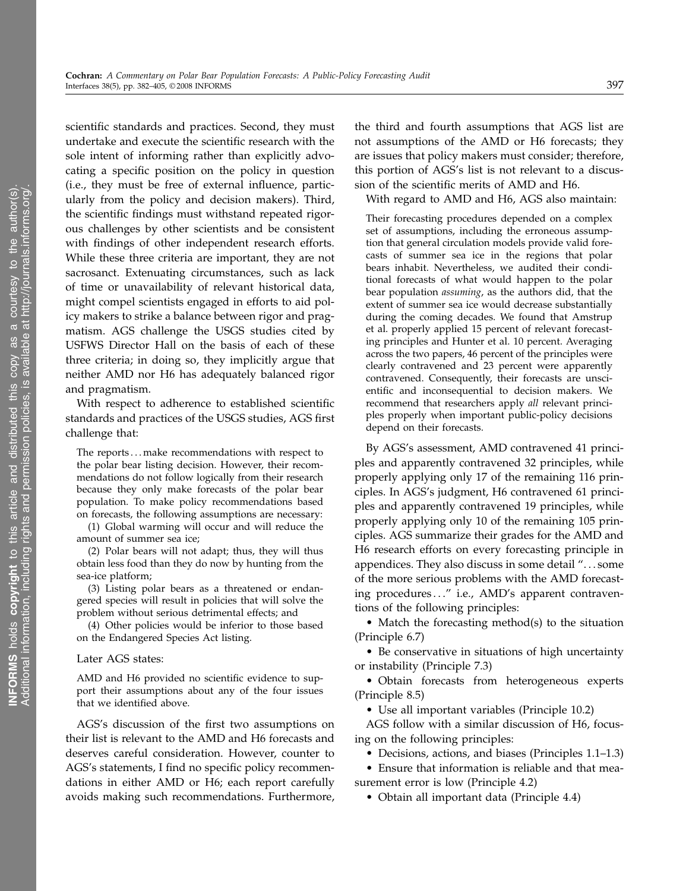scientific standards and practices. Second, they must undertake and execute the scientific research with the sole intent of informing rather than explicitly advocating a specific position on the policy in question (i.e., they must be free of external influence, particularly from the policy and decision makers). Third, the scientific findings must withstand repeated rigorous challenges by other scientists and be consistent with findings of other independent research efforts. While these three criteria are important, they are not sacrosanct. Extenuating circumstances, such as lack of time or unavailability of relevant historical data, might compel scientists engaged in efforts to aid policy makers to strike a balance between rigor and pragmatism. AGS challenge the USGS studies cited by USFWS Director Hall on the basis of each of these three criteria; in doing so, they implicitly argue that neither AMD nor H6 has adequately balanced rigor and pragmatism.

With respect to adherence to established scientific standards and practices of the USGS studies, AGS first challenge that:

The reports...make recommendations with respect to the polar bear listing decision. However, their recommendations do not follow logically from their research because they only make forecasts of the polar bear population. To make policy recommendations based on forecasts, the following assumptions are necessary:

(1) Global warming will occur and will reduce the amount of summer sea ice;

(2) Polar bears will not adapt; thus, they will thus obtain less food than they do now by hunting from the sea-ice platform;

(3) Listing polar bears as a threatened or endangered species will result in policies that will solve the problem without serious detrimental effects; and

(4) Other policies would be inferior to those based on the Endangered Species Act listing.

# Later AGS states:

AMD and H6 provided no scientific evidence to support their assumptions about any of the four issues that we identified above.

AGS's discussion of the first two assumptions on their list is relevant to the AMD and H6 forecasts and deserves careful consideration. However, counter to AGS's statements, I find no specific policy recommendations in either AMD or H6; each report carefully avoids making such recommendations. Furthermore,

the third and fourth assumptions that AGS list are not assumptions of the AMD or H6 forecasts; they are issues that policy makers must consider; therefore, this portion of AGS's list is not relevant to a discussion of the scientific merits of AMD and H6.

With regard to AMD and H6, AGS also maintain:

Their forecasting procedures depended on a complex set of assumptions, including the erroneous assumption that general circulation models provide valid forecasts of summer sea ice in the regions that polar bears inhabit. Nevertheless, we audited their conditional forecasts of what would happen to the polar bear population assuming, as the authors did, that the extent of summer sea ice would decrease substantially during the coming decades. We found that Amstrup et al. properly applied 15 percent of relevant forecasting principles and Hunter et al. 10 percent. Averaging across the two papers, 46 percent of the principles were clearly contravened and 23 percent were apparently contravened. Consequently, their forecasts are unscientific and inconsequential to decision makers. We recommend that researchers apply all relevant principles properly when important public-policy decisions depend on their forecasts.

By AGS's assessment, AMD contravened 41 principles and apparently contravened 32 principles, while properly applying only 17 of the remaining 116 principles. In AGS's judgment, H6 contravened 61 principles and apparently contravened 19 principles, while properly applying only 10 of the remaining 105 principles. AGS summarize their grades for the AMD and H6 research efforts on every forecasting principle in appendices. They also discuss in some detail "...some of the more serious problems with the AMD forecasting procedures ..." i.e., AMD's apparent contraventions of the following principles:

• Match the forecasting method(s) to the situation (Principle 6.7)

• Be conservative in situations of high uncertainty or instability (Principle 7.3)

• Obtain forecasts from heterogeneous experts (Principle 8.5)

• Use all important variables (Principle 10.2)

AGS follow with a similar discussion of H6, focusing on the following principles:

• Decisions, actions, and biases (Principles 1.1–1.3)

• Ensure that information is reliable and that measurement error is low (Principle 4.2)

• Obtain all important data (Principle 4.4)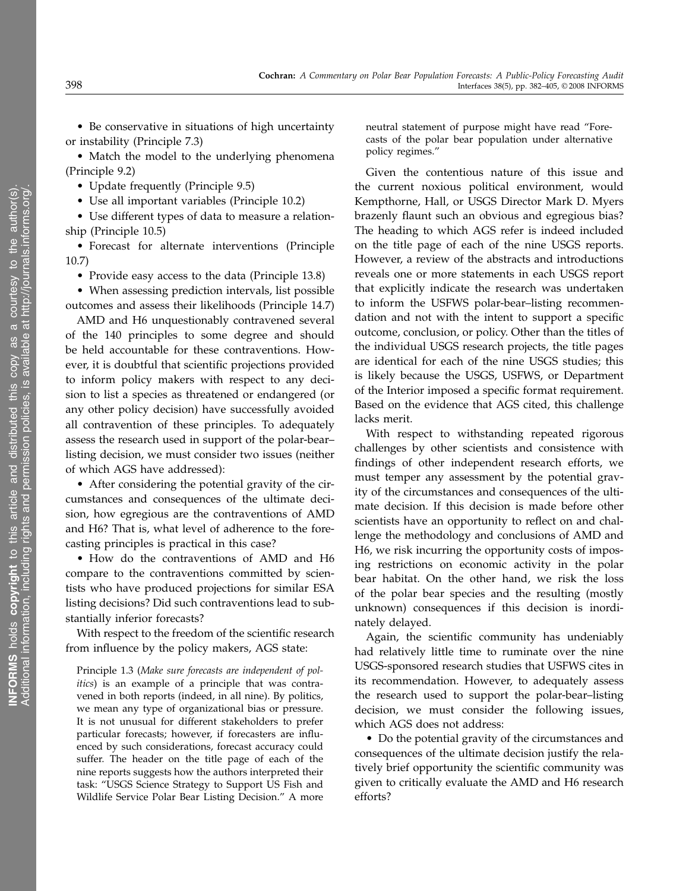• Be conservative in situations of high uncertainty or instability (Principle 7.3)

• Match the model to the underlying phenomena (Principle 9.2)

- Update frequently (Principle 9.5)
- Use all important variables (Principle 10.2)

• Use different types of data to measure a relationship (Principle 10.5)

• Forecast for alternate interventions (Principle 10.7)

• Provide easy access to the data (Principle 13.8)

• When assessing prediction intervals, list possible outcomes and assess their likelihoods (Principle 14.7)

AMD and H6 unquestionably contravened several of the 140 principles to some degree and should be held accountable for these contraventions. However, it is doubtful that scientific projections provided to inform policy makers with respect to any decision to list a species as threatened or endangered (or any other policy decision) have successfully avoided all contravention of these principles. To adequately assess the research used in support of the polar-bear– listing decision, we must consider two issues (neither of which AGS have addressed):

• After considering the potential gravity of the circumstances and consequences of the ultimate decision, how egregious are the contraventions of AMD and H6? That is, what level of adherence to the forecasting principles is practical in this case?

• How do the contraventions of AMD and H6 compare to the contraventions committed by scientists who have produced projections for similar ESA listing decisions? Did such contraventions lead to substantially inferior forecasts?

With respect to the freedom of the scientific research from influence by the policy makers, AGS state:

Principle 1.3 (Make sure forecasts are independent of politics) is an example of a principle that was contravened in both reports (indeed, in all nine). By politics, we mean any type of organizational bias or pressure. It is not unusual for different stakeholders to prefer particular forecasts; however, if forecasters are influenced by such considerations, forecast accuracy could suffer. The header on the title page of each of the nine reports suggests how the authors interpreted their task: "USGS Science Strategy to Support US Fish and Wildlife Service Polar Bear Listing Decision." A more neutral statement of purpose might have read "Forecasts of the polar bear population under alternative policy regimes."

Given the contentious nature of this issue and the current noxious political environment, would Kempthorne, Hall, or USGS Director Mark D. Myers brazenly flaunt such an obvious and egregious bias? The heading to which AGS refer is indeed included on the title page of each of the nine USGS reports. However, a review of the abstracts and introductions reveals one or more statements in each USGS report that explicitly indicate the research was undertaken to inform the USFWS polar-bear–listing recommendation and not with the intent to support a specific outcome, conclusion, or policy. Other than the titles of the individual USGS research projects, the title pages are identical for each of the nine USGS studies; this is likely because the USGS, USFWS, or Department of the Interior imposed a specific format requirement. Based on the evidence that AGS cited, this challenge lacks merit.

With respect to withstanding repeated rigorous challenges by other scientists and consistence with findings of other independent research efforts, we must temper any assessment by the potential gravity of the circumstances and consequences of the ultimate decision. If this decision is made before other scientists have an opportunity to reflect on and challenge the methodology and conclusions of AMD and H6, we risk incurring the opportunity costs of imposing restrictions on economic activity in the polar bear habitat. On the other hand, we risk the loss of the polar bear species and the resulting (mostly unknown) consequences if this decision is inordinately delayed.

Again, the scientific community has undeniably had relatively little time to ruminate over the nine USGS-sponsored research studies that USFWS cites in its recommendation. However, to adequately assess the research used to support the polar-bear–listing decision, we must consider the following issues, which AGS does not address:

• Do the potential gravity of the circumstances and consequences of the ultimate decision justify the relatively brief opportunity the scientific community was given to critically evaluate the AMD and H6 research efforts?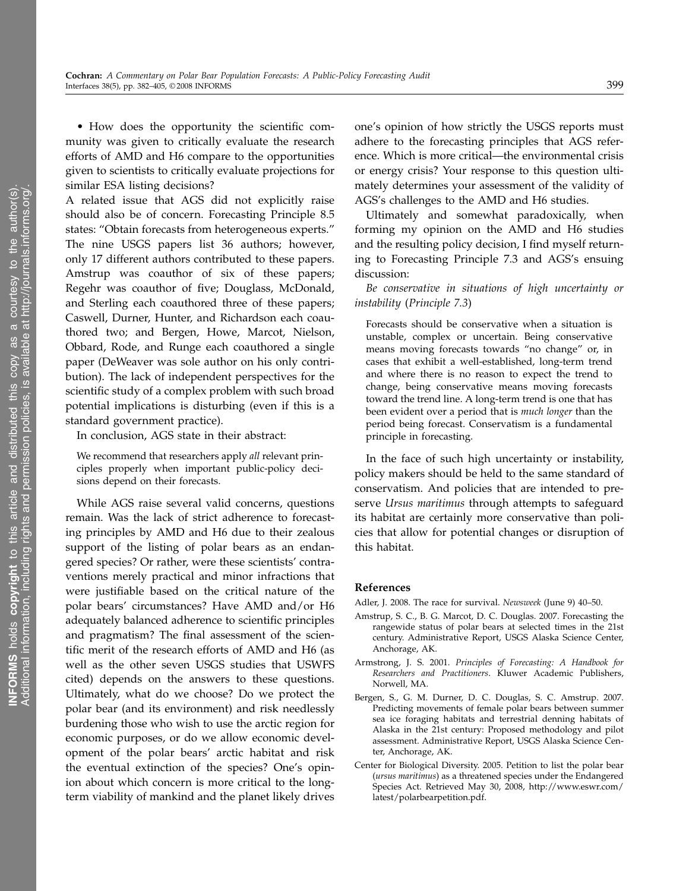• How does the opportunity the scientific community was given to critically evaluate the research efforts of AMD and H6 compare to the opportunities given to scientists to critically evaluate projections for similar ESA listing decisions?

A related issue that AGS did not explicitly raise should also be of concern. Forecasting Principle 8.5 states: "Obtain forecasts from heterogeneous experts." The nine USGS papers list 36 authors; however, only 17 different authors contributed to these papers. Amstrup was coauthor of six of these papers; Regehr was coauthor of five; Douglass, McDonald, and Sterling each coauthored three of these papers; Caswell, Durner, Hunter, and Richardson each coauthored two; and Bergen, Howe, Marcot, Nielson, Obbard, Rode, and Runge each coauthored a single paper (DeWeaver was sole author on his only contribution). The lack of independent perspectives for the scientific study of a complex problem with such broad potential implications is disturbing (even if this is a standard government practice).

In conclusion, AGS state in their abstract:

We recommend that researchers apply all relevant principles properly when important public-policy decisions depend on their forecasts.

While AGS raise several valid concerns, questions remain. Was the lack of strict adherence to forecasting principles by AMD and H6 due to their zealous support of the listing of polar bears as an endangered species? Or rather, were these scientists' contraventions merely practical and minor infractions that were justifiable based on the critical nature of the polar bears' circumstances? Have AMD and/or H6 adequately balanced adherence to scientific principles and pragmatism? The final assessment of the scientific merit of the research efforts of AMD and H6 (as well as the other seven USGS studies that USWFS cited) depends on the answers to these questions. Ultimately, what do we choose? Do we protect the polar bear (and its environment) and risk needlessly burdening those who wish to use the arctic region for economic purposes, or do we allow economic development of the polar bears' arctic habitat and risk the eventual extinction of the species? One's opinion about which concern is more critical to the longterm viability of mankind and the planet likely drives

one's opinion of how strictly the USGS reports must adhere to the forecasting principles that AGS reference. Which is more critical—the environmental crisis or energy crisis? Your response to this question ultimately determines your assessment of the validity of AGS's challenges to the AMD and H6 studies.

Ultimately and somewhat paradoxically, when forming my opinion on the AMD and H6 studies and the resulting policy decision, I find myself returning to Forecasting Principle 7.3 and AGS's ensuing discussion:

Be conservative in situations of high uncertainty or instability (Principle 7.3)

Forecasts should be conservative when a situation is unstable, complex or uncertain. Being conservative means moving forecasts towards "no change" or, in cases that exhibit a well-established, long-term trend and where there is no reason to expect the trend to change, being conservative means moving forecasts toward the trend line. A long-term trend is one that has been evident over a period that is *much longer* than the period being forecast. Conservatism is a fundamental principle in forecasting.

In the face of such high uncertainty or instability, policy makers should be held to the same standard of conservatism. And policies that are intended to preserve Ursus *maritimus* through attempts to safeguard its habitat are certainly more conservative than policies that allow for potential changes or disruption of this habitat.

### References

Adler, J. 2008. The race for survival. Newsweek (June 9) 40–50.

- Amstrup, S. C., B. G. Marcot, D. C. Douglas. 2007. Forecasting the rangewide status of polar bears at selected times in the 21st century. Administrative Report, USGS Alaska Science Center, Anchorage, AK.
- Armstrong, J. S. 2001. Principles of Forecasting: A Handbook for Researchers and Practitioners. Kluwer Academic Publishers, Norwell, MA.
- Bergen, S., G. M. Durner, D. C. Douglas, S. C. Amstrup. 2007. Predicting movements of female polar bears between summer sea ice foraging habitats and terrestrial denning habitats of Alaska in the 21st century: Proposed methodology and pilot assessment. Administrative Report, USGS Alaska Science Center, Anchorage, AK.
- Center for Biological Diversity. 2005. Petition to list the polar bear (ursus maritimus) as a threatened species under the Endangered Species Act. Retrieved May 30, 2008, http://www.eswr.com/ latest/polarbearpetition.pdf.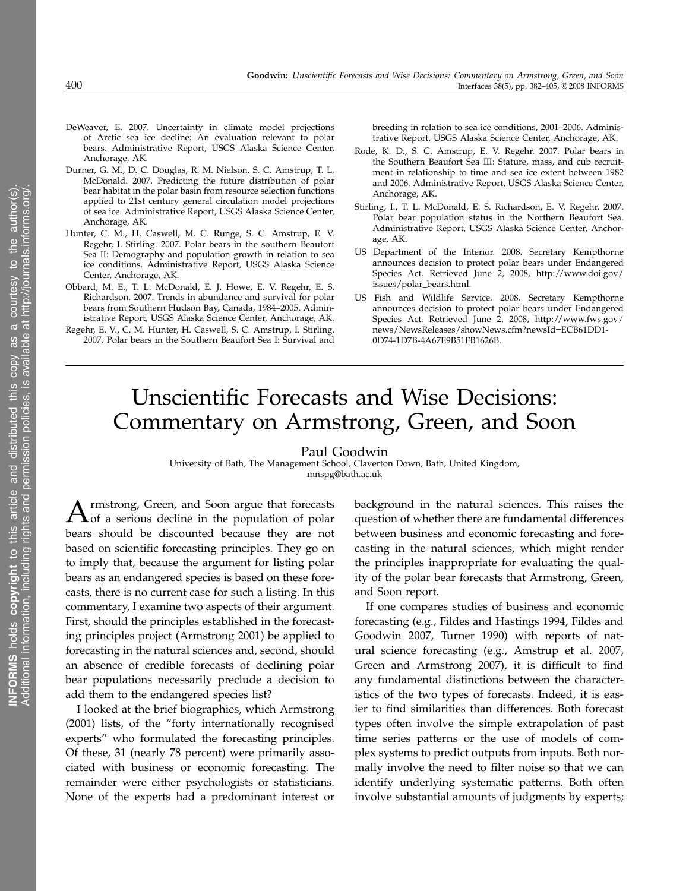- DeWeaver, E. 2007. Uncertainty in climate model projections of Arctic sea ice decline: An evaluation relevant to polar bears. Administrative Report, USGS Alaska Science Center, Anchorage, AK.
- Durner, G. M., D. C. Douglas, R. M. Nielson, S. C. Amstrup, T. L. McDonald. 2007. Predicting the future distribution of polar bear habitat in the polar basin from resource selection functions applied to 21st century general circulation model projections of sea ice. Administrative Report, USGS Alaska Science Center, Anchorage, AK.
- Hunter, C. M., H. Caswell, M. C. Runge, S. C. Amstrup, E. V. Regehr, I. Stirling. 2007. Polar bears in the southern Beaufort Sea II: Demography and population growth in relation to sea ice conditions. Administrative Report, USGS Alaska Science Center, Anchorage, AK.
- Obbard, M. E., T. L. McDonald, E. J. Howe, E. V. Regehr, E. S. Richardson. 2007. Trends in abundance and survival for polar bears from Southern Hudson Bay, Canada, 1984–2005. Administrative Report, USGS Alaska Science Center, Anchorage, AK.
- Regehr, E. V., C. M. Hunter, H. Caswell, S. C. Amstrup, I. Stirling. 2007. Polar bears in the Southern Beaufort Sea I: Survival and

breeding in relation to sea ice conditions, 2001–2006. Administrative Report, USGS Alaska Science Center, Anchorage, AK.

- Rode, K. D., S. C. Amstrup, E. V. Regehr. 2007. Polar bears in the Southern Beaufort Sea III: Stature, mass, and cub recruitment in relationship to time and sea ice extent between 1982 and 2006. Administrative Report, USGS Alaska Science Center, Anchorage, AK.
- Stirling, I., T. L. McDonald, E. S. Richardson, E. V. Regehr. 2007. Polar bear population status in the Northern Beaufort Sea. Administrative Report, USGS Alaska Science Center, Anchorage, AK.
- US Department of the Interior. 2008. Secretary Kempthorne announces decision to protect polar bears under Endangered Species Act. Retrieved June 2, 2008, http://www.doi.gov/ issues/polar\_bears.html.
- US Fish and Wildlife Service. 2008. Secretary Kempthorne announces decision to protect polar bears under Endangered Species Act. Retrieved June 2, 2008, http://www.fws.gov/ news/NewsReleases/showNews.cfm?newsId=ECB61DD1- 0D74-1D7B-4A67E9B51FB1626B.

# Unscientific Forecasts and Wise Decisions: Commentary on Armstrong, Green, and Soon

Paul Goodwin

University of Bath, The Management School, Claverton Down, Bath, United Kingdom, mnspg@bath.ac.uk

Armstrong, Green, and Soon argue that forecasts<br>of a serious decline in the population of polar bears should be discounted because they are not based on scientific forecasting principles. They go on to imply that, because the argument for listing polar bears as an endangered species is based on these forecasts, there is no current case for such a listing. In this commentary, I examine two aspects of their argument. First, should the principles established in the forecasting principles project (Armstrong 2001) be applied to forecasting in the natural sciences and, second, should an absence of credible forecasts of declining polar bear populations necessarily preclude a decision to add them to the endangered species list?

I looked at the brief biographies, which Armstrong (2001) lists, of the "forty internationally recognised experts" who formulated the forecasting principles. Of these, 31 (nearly 78 percent) were primarily associated with business or economic forecasting. The remainder were either psychologists or statisticians. None of the experts had a predominant interest or

background in the natural sciences. This raises the question of whether there are fundamental differences between business and economic forecasting and forecasting in the natural sciences, which might render the principles inappropriate for evaluating the quality of the polar bear forecasts that Armstrong, Green, and Soon report.

If one compares studies of business and economic forecasting (e.g., Fildes and Hastings 1994, Fildes and Goodwin 2007, Turner 1990) with reports of natural science forecasting (e.g., Amstrup et al. 2007, Green and Armstrong 2007), it is difficult to find any fundamental distinctions between the characteristics of the two types of forecasts. Indeed, it is easier to find similarities than differences. Both forecast types often involve the simple extrapolation of past time series patterns or the use of models of complex systems to predict outputs from inputs. Both normally involve the need to filter noise so that we can identify underlying systematic patterns. Both often involve substantial amounts of judgments by experts;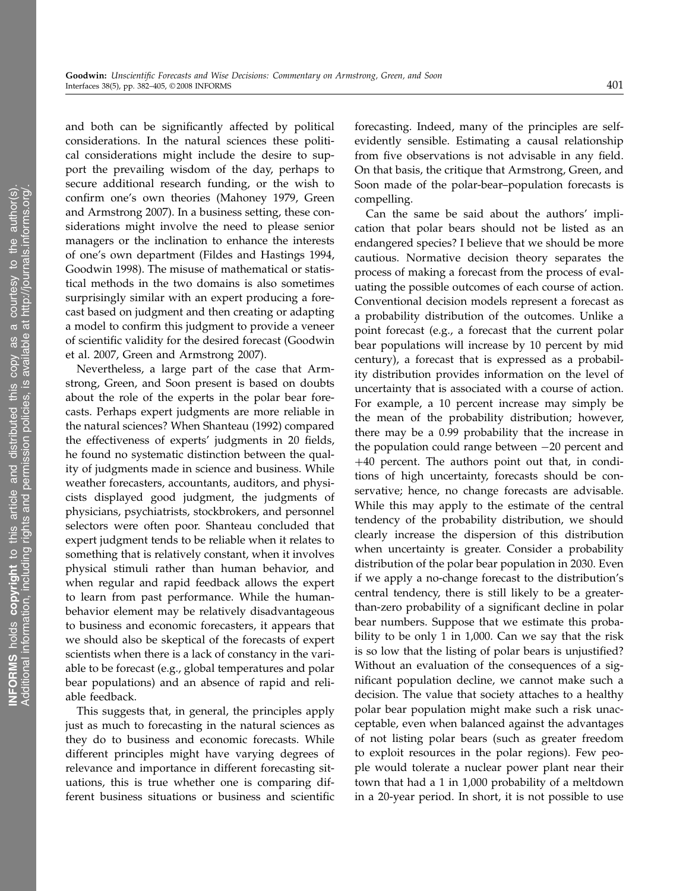and both can be significantly affected by political considerations. In the natural sciences these political considerations might include the desire to support the prevailing wisdom of the day, perhaps to secure additional research funding, or the wish to confirm one's own theories (Mahoney 1979, Green and Armstrong 2007). In a business setting, these considerations might involve the need to please senior managers or the inclination to enhance the interests of one's own department (Fildes and Hastings 1994, Goodwin 1998). The misuse of mathematical or statistical methods in the two domains is also sometimes surprisingly similar with an expert producing a forecast based on judgment and then creating or adapting a model to confirm this judgment to provide a veneer of scientific validity for the desired forecast (Goodwin et al. 2007, Green and Armstrong 2007).

Nevertheless, a large part of the case that Armstrong, Green, and Soon present is based on doubts about the role of the experts in the polar bear forecasts. Perhaps expert judgments are more reliable in the natural sciences? When Shanteau (1992) compared the effectiveness of experts' judgments in 20 fields, he found no systematic distinction between the quality of judgments made in science and business. While weather forecasters, accountants, auditors, and physicists displayed good judgment, the judgments of physicians, psychiatrists, stockbrokers, and personnel selectors were often poor. Shanteau concluded that expert judgment tends to be reliable when it relates to something that is relatively constant, when it involves physical stimuli rather than human behavior, and when regular and rapid feedback allows the expert to learn from past performance. While the humanbehavior element may be relatively disadvantageous to business and economic forecasters, it appears that we should also be skeptical of the forecasts of expert scientists when there is a lack of constancy in the variable to be forecast (e.g., global temperatures and polar bear populations) and an absence of rapid and reliable feedback.

This suggests that, in general, the principles apply just as much to forecasting in the natural sciences as they do to business and economic forecasts. While different principles might have varying degrees of relevance and importance in different forecasting situations, this is true whether one is comparing different business situations or business and scientific

forecasting. Indeed, many of the principles are selfevidently sensible. Estimating a causal relationship from five observations is not advisable in any field. On that basis, the critique that Armstrong, Green, and Soon made of the polar-bear–population forecasts is compelling.

Can the same be said about the authors' implication that polar bears should not be listed as an endangered species? I believe that we should be more cautious. Normative decision theory separates the process of making a forecast from the process of evaluating the possible outcomes of each course of action. Conventional decision models represent a forecast as a probability distribution of the outcomes. Unlike a point forecast (e.g., a forecast that the current polar bear populations will increase by 10 percent by mid century), a forecast that is expressed as a probability distribution provides information on the level of uncertainty that is associated with a course of action. For example, a 10 percent increase may simply be the mean of the probability distribution; however, there may be a 0.99 probability that the increase in the population could range between −20 percent and +40 percent. The authors point out that, in conditions of high uncertainty, forecasts should be conservative; hence, no change forecasts are advisable. While this may apply to the estimate of the central tendency of the probability distribution, we should clearly increase the dispersion of this distribution when uncertainty is greater. Consider a probability distribution of the polar bear population in 2030. Even if we apply a no-change forecast to the distribution's central tendency, there is still likely to be a greaterthan-zero probability of a significant decline in polar bear numbers. Suppose that we estimate this probability to be only 1 in 1,000. Can we say that the risk is so low that the listing of polar bears is unjustified? Without an evaluation of the consequences of a significant population decline, we cannot make such a decision. The value that society attaches to a healthy polar bear population might make such a risk unacceptable, even when balanced against the advantages of not listing polar bears (such as greater freedom to exploit resources in the polar regions). Few people would tolerate a nuclear power plant near their town that had a 1 in 1,000 probability of a meltdown in a 20-year period. In short, it is not possible to use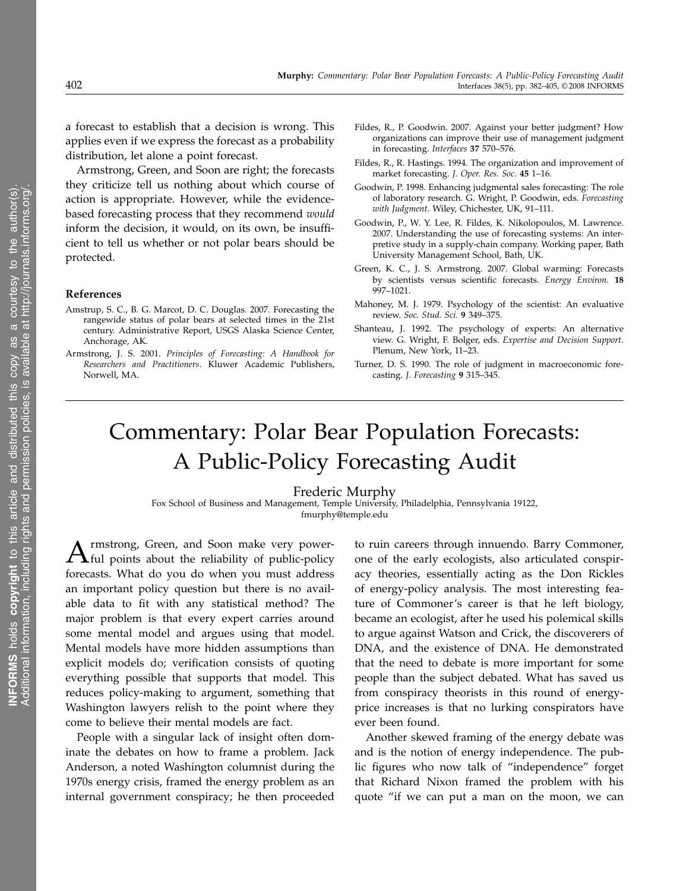a forecast to establish that a decision is wrong. This applies even if we express the forecast as a probability distribution, let alone a point forecast.

Armstrong, Green, and Soon are right; the forecasts they criticize tell us nothing about which course of action is appropriate. However, while the evidencebased forecasting process that they recommend would inform the decision, it would, on its own, be insufficient to tell us whether or not polar bears should be protected.

# References

- Amstrup, S. C., B. G. Marcot, D. C. Douglas. 2007. Forecasting the rangewide status of polar bears at selected times in the 21st century. Administrative Report, USGS Alaska Science Center, Anchorage, AK.
- Armstrong, J. S. 2001. Principles of Forecasting: A Handbook for Researchers and Practitioners. Kluwer Academic Publishers, Norwell, MA.
- Fildes, R., P. Goodwin. 2007. Against your better judgment? How organizations can improve their use of management judgment in forecasting. Interfaces 37 570–576.
- Fildes, R., R. Hastings. 1994. The organization and improvement of market forecasting. J. Oper. Res. Soc. 45 1–16.
- Goodwin, P. 1998. Enhancing judgmental sales forecasting: The role of laboratory research. G. Wright, P. Goodwin, eds. Forecasting with Judgment. Wiley, Chichester, UK, 91–111.
- Goodwin, P., W. Y. Lee, R. Fildes, K. Nikolopoulos, M. Lawrence. 2007. Understanding the use of forecasting systems: An interpretive study in a supply-chain company. Working paper, Bath University Management School, Bath, UK.
- Green, K. C., J. S. Armstrong. 2007. Global warming: Forecasts by scientists versus scientific forecasts. Energy Environ. 18 997–1021.
- Mahoney, M. J. 1979. Psychology of the scientist: An evaluative review. Soc. Stud. Sci. 9 349–375.
- Shanteau, J. 1992. The psychology of experts: An alternative view. G. Wright, F. Bolger, eds. Expertise and Decision Support. Plenum, New York, 11–23.
- Turner, D. S. 1990. The role of judgment in macroeconomic forecasting. J. Forecasting 9 315–345.

# Commentary: Polar Bear Population Forecasts: A Public-Policy Forecasting Audit

Frederic Murphy

Fox School of Business and Management, Temple University, Philadelphia, Pennsylvania 19122, fmurphy@temple.edu

A rmstrong, Green, and Soon make very power-<br>ful points about the reliability of public-policy forecasts. What do you do when you must address an important policy question but there is no available data to fit with any statistical method? The major problem is that every expert carries around some mental model and argues using that model. Mental models have more hidden assumptions than explicit models do; verification consists of quoting everything possible that supports that model. This reduces policy-making to argument, something that Washington lawyers relish to the point where they come to believe their mental models are fact.

People with a singular lack of insight often dominate the debates on how to frame a problem. Jack Anderson, a noted Washington columnist during the 1970s energy crisis, framed the energy problem as an internal government conspiracy; he then proceeded

to ruin careers through innuendo. Barry Commoner, one of the early ecologists, also articulated conspiracy theories, essentially acting as the Don Rickles of energy-policy analysis. The most interesting feature of Commoner's career is that he left biology, became an ecologist, after he used his polemical skills to argue against Watson and Crick, the discoverers of DNA, and the existence of DNA. He demonstrated that the need to debate is more important for some people than the subject debated. What has saved us from conspiracy theorists in this round of energyprice increases is that no lurking conspirators have ever been found.

Another skewed framing of the energy debate was and is the notion of energy independence. The public figures who now talk of "independence" forget that Richard Nixon framed the problem with his quote "if we can put a man on the moon, we can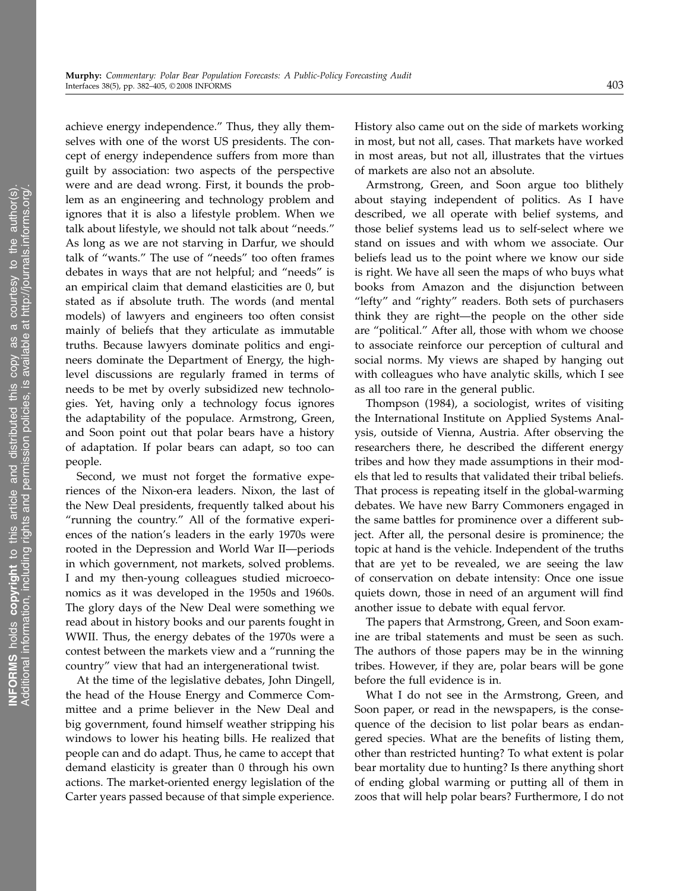achieve energy independence." Thus, they ally themselves with one of the worst US presidents. The concept of energy independence suffers from more than guilt by association: two aspects of the perspective were and are dead wrong. First, it bounds the problem as an engineering and technology problem and ignores that it is also a lifestyle problem. When we talk about lifestyle, we should not talk about "needs." As long as we are not starving in Darfur, we should talk of "wants." The use of "needs" too often frames debates in ways that are not helpful; and "needs" is an empirical claim that demand elasticities are 0, but stated as if absolute truth. The words (and mental models) of lawyers and engineers too often consist mainly of beliefs that they articulate as immutable truths. Because lawyers dominate politics and engineers dominate the Department of Energy, the highlevel discussions are regularly framed in terms of needs to be met by overly subsidized new technologies. Yet, having only a technology focus ignores the adaptability of the populace. Armstrong, Green, and Soon point out that polar bears have a history of adaptation. If polar bears can adapt, so too can people.

Second, we must not forget the formative experiences of the Nixon-era leaders. Nixon, the last of the New Deal presidents, frequently talked about his "running the country." All of the formative experiences of the nation's leaders in the early 1970s were rooted in the Depression and World War II—periods in which government, not markets, solved problems. I and my then-young colleagues studied microeconomics as it was developed in the 1950s and 1960s. The glory days of the New Deal were something we read about in history books and our parents fought in WWII. Thus, the energy debates of the 1970s were a contest between the markets view and a "running the country" view that had an intergenerational twist.

At the time of the legislative debates, John Dingell, the head of the House Energy and Commerce Committee and a prime believer in the New Deal and big government, found himself weather stripping his windows to lower his heating bills. He realized that people can and do adapt. Thus, he came to accept that demand elasticity is greater than 0 through his own actions. The market-oriented energy legislation of the Carter years passed because of that simple experience.

History also came out on the side of markets working in most, but not all, cases. That markets have worked in most areas, but not all, illustrates that the virtues of markets are also not an absolute.

Armstrong, Green, and Soon argue too blithely about staying independent of politics. As I have described, we all operate with belief systems, and those belief systems lead us to self-select where we stand on issues and with whom we associate. Our beliefs lead us to the point where we know our side is right. We have all seen the maps of who buys what books from Amazon and the disjunction between "lefty" and "righty" readers. Both sets of purchasers think they are right—the people on the other side are "political." After all, those with whom we choose to associate reinforce our perception of cultural and social norms. My views are shaped by hanging out with colleagues who have analytic skills, which I see as all too rare in the general public.

Thompson (1984), a sociologist, writes of visiting the International Institute on Applied Systems Analysis, outside of Vienna, Austria. After observing the researchers there, he described the different energy tribes and how they made assumptions in their models that led to results that validated their tribal beliefs. That process is repeating itself in the global-warming debates. We have new Barry Commoners engaged in the same battles for prominence over a different subject. After all, the personal desire is prominence; the topic at hand is the vehicle. Independent of the truths that are yet to be revealed, we are seeing the law of conservation on debate intensity: Once one issue quiets down, those in need of an argument will find another issue to debate with equal fervor.

The papers that Armstrong, Green, and Soon examine are tribal statements and must be seen as such. The authors of those papers may be in the winning tribes. However, if they are, polar bears will be gone before the full evidence is in.

What I do not see in the Armstrong, Green, and Soon paper, or read in the newspapers, is the consequence of the decision to list polar bears as endangered species. What are the benefits of listing them, other than restricted hunting? To what extent is polar bear mortality due to hunting? Is there anything short of ending global warming or putting all of them in zoos that will help polar bears? Furthermore, I do not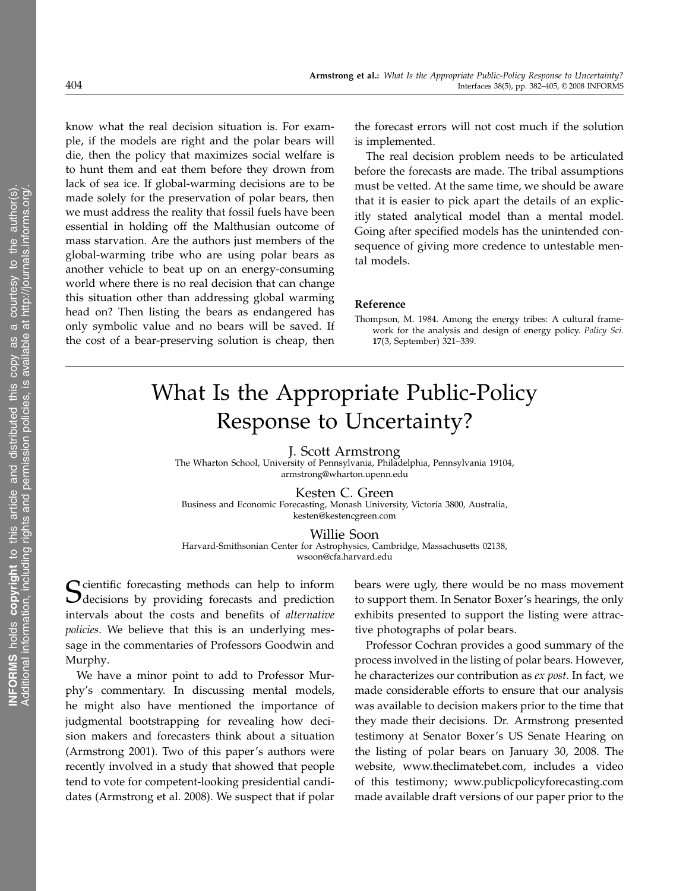know what the real decision situation is. For example, if the models are right and the polar bears will die, then the policy that maximizes social welfare is to hunt them and eat them before they drown from lack of sea ice. If global-warming decisions are to be made solely for the preservation of polar bears, then we must address the reality that fossil fuels have been essential in holding off the Malthusian outcome of mass starvation. Are the authors just members of the global-warming tribe who are using polar bears as another vehicle to beat up on an energy-consuming world where there is no real decision that can change this situation other than addressing global warming head on? Then listing the bears as endangered has only symbolic value and no bears will be saved. If the cost of a bear-preserving solution is cheap, then

the forecast errors will not cost much if the solution is implemented.

The real decision problem needs to be articulated before the forecasts are made. The tribal assumptions must be vetted. At the same time, we should be aware that it is easier to pick apart the details of an explicitly stated analytical model than a mental model. Going after specified models has the unintended consequence of giving more credence to untestable mental models.

# Reference

Thompson, M. 1984. Among the energy tribes: A cultural framework for the analysis and design of energy policy. Policy Sci. 17(3, September) 321–339.

# What Is the Appropriate Public-Policy Response to Uncertainty?

J. Scott Armstrong

The Wharton School, University of Pennsylvania, Philadelphia, Pennsylvania 19104, armstrong@wharton.upenn.edu

Kesten C. Green Business and Economic Forecasting, Monash University, Victoria 3800, Australia, kesten@kestencgreen.com

Willie Soon Harvard-Smithsonian Center for Astrophysics, Cambridge, Massachusetts 02138, wsoon@cfa.harvard.edu

Scientific forecasting methods can help to inform<br>decisions by providing forecasts and prediction intervals about the costs and benefits of alternative policies. We believe that this is an underlying message in the commentaries of Professors Goodwin and Murphy.

We have a minor point to add to Professor Murphy's commentary. In discussing mental models, he might also have mentioned the importance of judgmental bootstrapping for revealing how decision makers and forecasters think about a situation (Armstrong 2001). Two of this paper's authors were recently involved in a study that showed that people tend to vote for competent-looking presidential candidates (Armstrong et al. 2008). We suspect that if polar

bears were ugly, there would be no mass movement to support them. In Senator Boxer's hearings, the only exhibits presented to support the listing were attractive photographs of polar bears.

Professor Cochran provides a good summary of the process involved in the listing of polar bears. However, he characterizes our contribution as ex post. In fact, we made considerable efforts to ensure that our analysis was available to decision makers prior to the time that they made their decisions. Dr. Armstrong presented testimony at Senator Boxer's US Senate Hearing on the listing of polar bears on January 30, 2008. The website, www.theclimatebet.com, includes a video of this testimony; www.publicpolicyforecasting.com made available draft versions of our paper prior to the